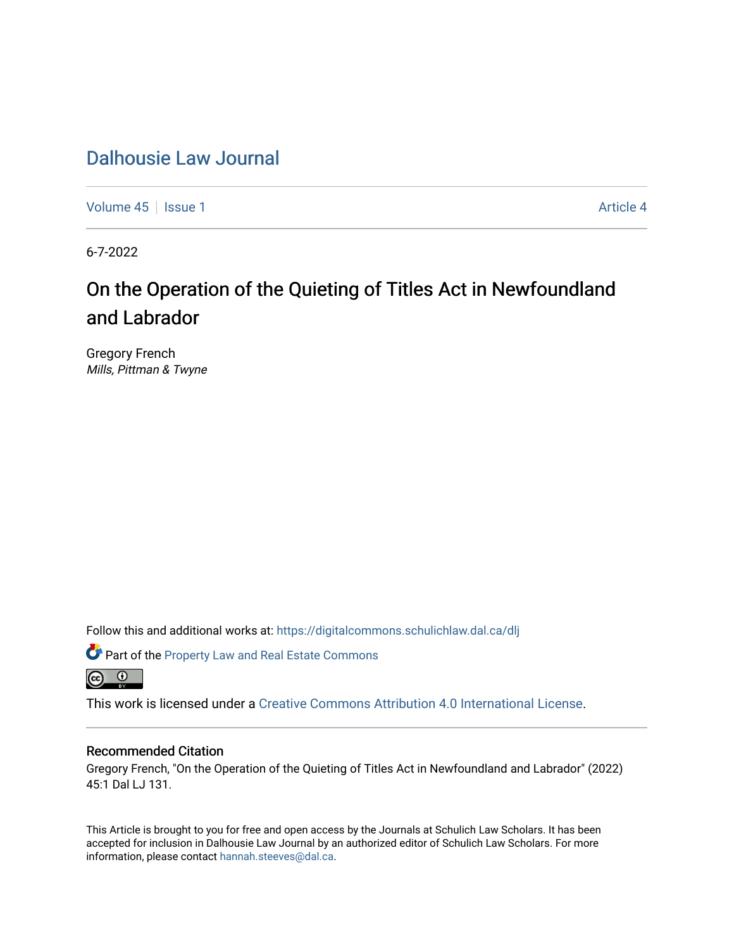[Volume 45](https://digitalcommons.schulichlaw.dal.ca/dlj/vol45) | [Issue 1](https://digitalcommons.schulichlaw.dal.ca/dlj/vol45/iss1) Article 4

6-7-2022

# On the Operation of the Quieting of Titles Act in Newfoundland and Labrador

Gregory French Mills, Pittman & Twyne

Follow this and additional works at: [https://digitalcommons.schulichlaw.dal.ca/dlj](https://digitalcommons.schulichlaw.dal.ca/dlj?utm_source=digitalcommons.schulichlaw.dal.ca%2Fdlj%2Fvol45%2Fiss1%2F4&utm_medium=PDF&utm_campaign=PDFCoverPages) 

Part of the [Property Law and Real Estate Commons](https://network.bepress.com/hgg/discipline/897?utm_source=digitalcommons.schulichlaw.dal.ca%2Fdlj%2Fvol45%2Fiss1%2F4&utm_medium=PDF&utm_campaign=PDFCoverPages)  <u>ේ</u>

This work is licensed under a [Creative Commons Attribution 4.0 International License](https://creativecommons.org/licenses/by/4.0/).

# Recommended Citation

Gregory French, "On the Operation of the Quieting of Titles Act in Newfoundland and Labrador" (2022) 45:1 Dal LJ 131.

This Article is brought to you for free and open access by the Journals at Schulich Law Scholars. It has been accepted for inclusion in Dalhousie Law Journal by an authorized editor of Schulich Law Scholars. For more information, please contact [hannah.steeves@dal.ca](mailto:hannah.steeves@dal.ca).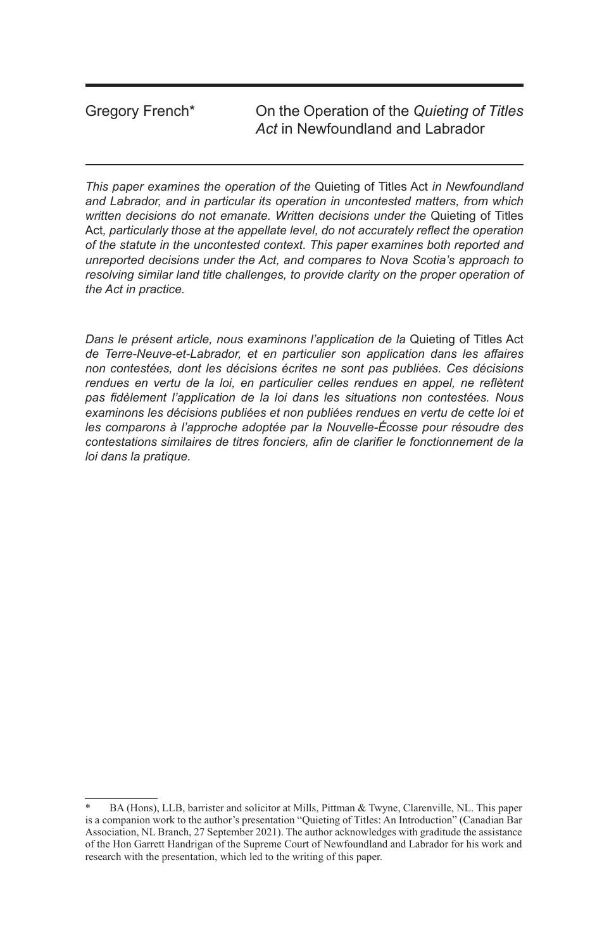Gregory French\* On the Operation of the *Quieting of Titles Act* in Newfoundland and Labrador

*This paper examines the operation of the* Quieting of Titles Act *in Newfoundland and Labrador, and in particular its operation in uncontested matters, from which written decisions do not emanate. Written decisions under the* Quieting of Titles Act*, particularly those at the appellate level, do not accurately reflect the operation of the statute in the uncontested context. This paper examines both reported and unreported decisions under the Act, and compares to Nova Scotia's approach to*  resolving similar land title challenges, to provide clarity on the proper operation of *the Act in practice.*

*Dans le présent article, nous examinons l'application de la* Quieting of Titles Act *de Terre-Neuve-et-Labrador, et en particulier son application dans les affaires non contestées, dont les décisions écrites ne sont pas publiées. Ces décisions*  rendues en vertu de la loi, en particulier celles rendues en appel, ne reflètent *pas fidèlement l'application de la loi dans les situations non contestées. Nous examinons les décisions publiées et non publiées rendues en vertu de cette loi et les comparons à l'approche adoptée par la Nouvelle-Écosse pour résoudre des contestations similaires de titres fonciers, afin de clarifier le fonctionnement de la loi dans la pratique.*

BA (Hons), LLB, barrister and solicitor at Mills, Pittman & Twyne, Clarenville, NL. This paper is a companion work to the author's presentation "Quieting of Titles: An Introduction" (Canadian Bar Association, NL Branch, 27 September 2021). The author acknowledges with graditude the assistance of the Hon Garrett Handrigan of the Supreme Court of Newfoundland and Labrador for his work and research with the presentation, which led to the writing of this paper.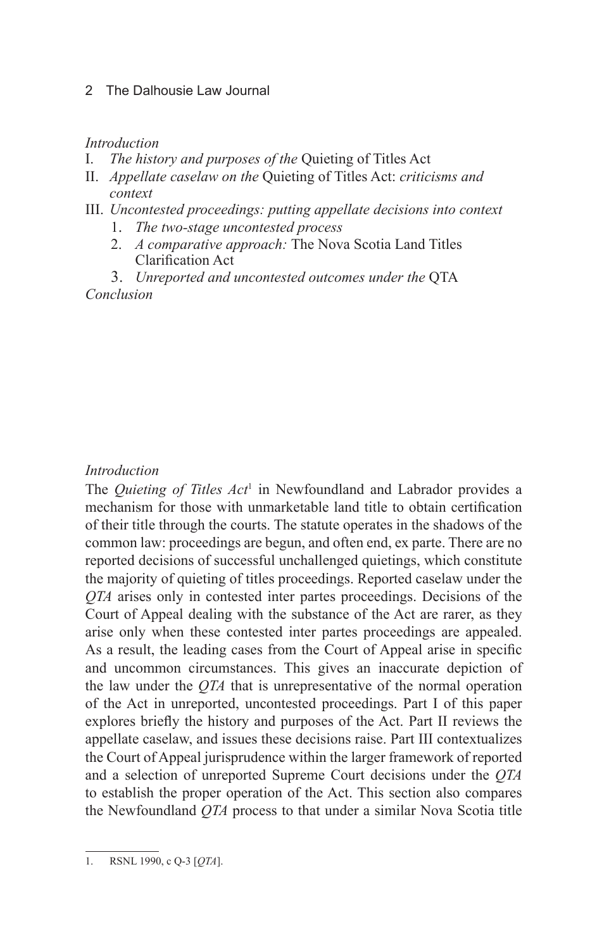# *Introduction*

- I. *The history and purposes of the* Quieting of Titles Act
- II. *Appellate caselaw on the* Quieting of Titles Act: *criticisms and context*
- III. *Uncontested proceedings: putting appellate decisions into context*
	- 1. *The two-stage uncontested process*
	- 2. *A comparative approach:* The Nova Scotia Land Titles Clarification Act
- 3. *Unreported and uncontested outcomes under the* QTA *Conclusion*

# *Introduction*

The *Quieting of Titles Act*<sup>1</sup> in Newfoundland and Labrador provides a mechanism for those with unmarketable land title to obtain certification of their title through the courts. The statute operates in the shadows of the common law: proceedings are begun, and often end, ex parte. There are no reported decisions of successful unchallenged quietings, which constitute the majority of quieting of titles proceedings. Reported caselaw under the *QTA* arises only in contested inter partes proceedings. Decisions of the Court of Appeal dealing with the substance of the Act are rarer, as they arise only when these contested inter partes proceedings are appealed. As a result, the leading cases from the Court of Appeal arise in specific and uncommon circumstances. This gives an inaccurate depiction of the law under the *QTA* that is unrepresentative of the normal operation of the Act in unreported, uncontested proceedings. Part I of this paper explores briefly the history and purposes of the Act. Part II reviews the appellate caselaw, and issues these decisions raise. Part III contextualizes the Court of Appeal jurisprudence within the larger framework of reported and a selection of unreported Supreme Court decisions under the *QTA* to establish the proper operation of the Act. This section also compares the Newfoundland *QTA* process to that under a similar Nova Scotia title

<sup>1.</sup> RSNL 1990, c Q-3 [*QTA*].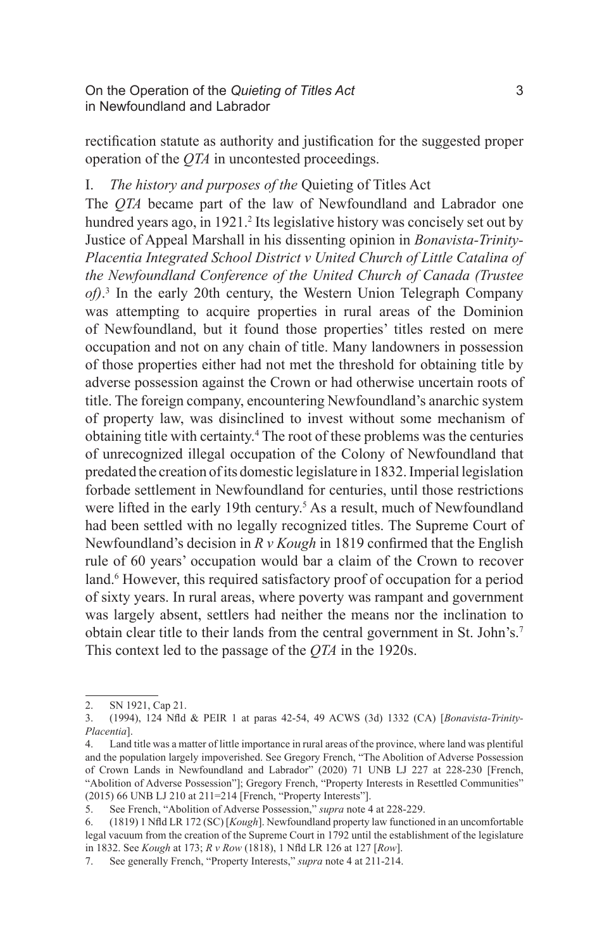rectification statute as authority and justification for the suggested proper operation of the *QTA* in uncontested proceedings.

# I. *The history and purposes of the* Quieting of Titles Act

The *QTA* became part of the law of Newfoundland and Labrador one hundred years ago, in 1921.<sup>2</sup> Its legislative history was concisely set out by Justice of Appeal Marshall in his dissenting opinion in *Bonavista-Trinity-Placentia Integrated School District v United Church of Little Catalina of the Newfoundland Conference of the United Church of Canada (Trustee of)*. 3 In the early 20th century, the Western Union Telegraph Company was attempting to acquire properties in rural areas of the Dominion of Newfoundland, but it found those properties' titles rested on mere occupation and not on any chain of title. Many landowners in possession of those properties either had not met the threshold for obtaining title by adverse possession against the Crown or had otherwise uncertain roots of title. The foreign company, encountering Newfoundland's anarchic system of property law, was disinclined to invest without some mechanism of obtaining title with certainty.4 The root of these problems was the centuries of unrecognized illegal occupation of the Colony of Newfoundland that predated the creation of its domestic legislature in 1832. Imperial legislation forbade settlement in Newfoundland for centuries, until those restrictions were lifted in the early 19th century.<sup>5</sup> As a result, much of Newfoundland had been settled with no legally recognized titles. The Supreme Court of Newfoundland's decision in *R v Kough* in 1819 confirmed that the English rule of 60 years' occupation would bar a claim of the Crown to recover land.<sup>6</sup> However, this required satisfactory proof of occupation for a period of sixty years. In rural areas, where poverty was rampant and government was largely absent, settlers had neither the means nor the inclination to obtain clear title to their lands from the central government in St. John's.7 This context led to the passage of the *QTA* in the 1920s.

<sup>2.</sup> SN 1921, Cap 21.

<sup>3.</sup> (1994), 124 Nfld & PEIR 1 at paras 42-54, 49 ACWS (3d) 1332 (CA) [*Bonavista-Trinity-Placentia*].

<sup>4.</sup> Land title was a matter of little importance in rural areas of the province, where land was plentiful and the population largely impoverished. See Gregory French, "The Abolition of Adverse Possession of Crown Lands in Newfoundland and Labrador" (2020) 71 UNB LJ 227 at 228-230 [French, "Abolition of Adverse Possession"]; Gregory French, "Property Interests in Resettled Communities" (2015) 66 UNB LJ 210 at 211=214 [French, "Property Interests"].

<sup>5.</sup> See French, "Abolition of Adverse Possession," *supra* note 4 at 228-229.

<sup>6.</sup> (1819) 1 Nfld LR 172 (SC) [*Kough*]. Newfoundland property law functioned in an uncomfortable legal vacuum from the creation of the Supreme Court in 1792 until the establishment of the legislature in 1832. See *Kough* at 173; *R v Row* (1818), 1 Nfld LR 126 at 127 [*Row*].

<sup>7.</sup> See generally French, "Property Interests," *supra* note 4 at 211-214.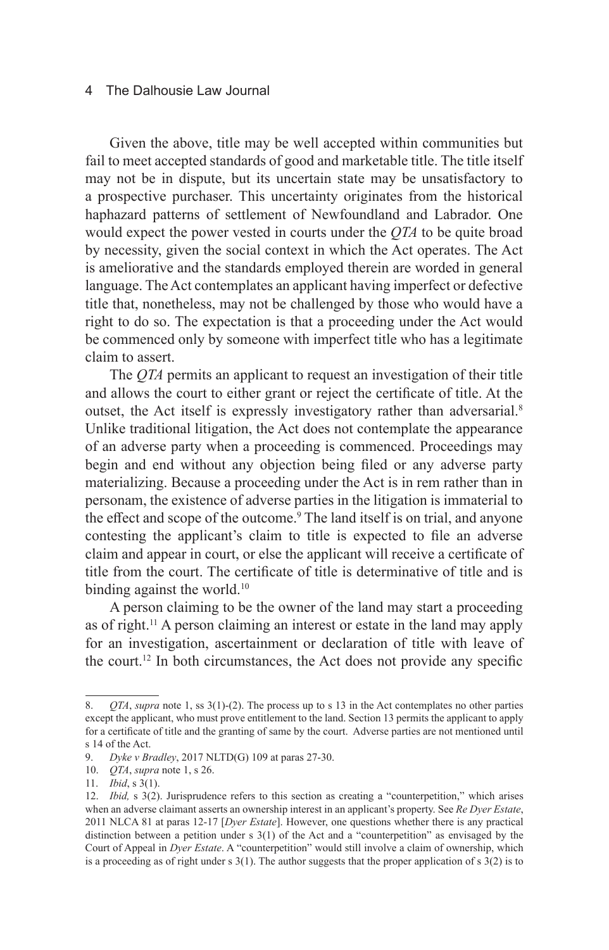Given the above, title may be well accepted within communities but fail to meet accepted standards of good and marketable title. The title itself may not be in dispute, but its uncertain state may be unsatisfactory to a prospective purchaser. This uncertainty originates from the historical haphazard patterns of settlement of Newfoundland and Labrador. One would expect the power vested in courts under the *QTA* to be quite broad by necessity, given the social context in which the Act operates. The Act is ameliorative and the standards employed therein are worded in general language. The Act contemplates an applicant having imperfect or defective title that, nonetheless, may not be challenged by those who would have a right to do so. The expectation is that a proceeding under the Act would be commenced only by someone with imperfect title who has a legitimate claim to assert.

The *QTA* permits an applicant to request an investigation of their title and allows the court to either grant or reject the certificate of title. At the outset, the Act itself is expressly investigatory rather than adversarial.<sup>8</sup> Unlike traditional litigation, the Act does not contemplate the appearance of an adverse party when a proceeding is commenced. Proceedings may begin and end without any objection being filed or any adverse party materializing. Because a proceeding under the Act is in rem rather than in personam, the existence of adverse parties in the litigation is immaterial to the effect and scope of the outcome.<sup>9</sup> The land itself is on trial, and anyone contesting the applicant's claim to title is expected to file an adverse claim and appear in court, or else the applicant will receive a certificate of title from the court. The certificate of title is determinative of title and is binding against the world.<sup>10</sup>

A person claiming to be the owner of the land may start a proceeding as of right.11 A person claiming an interest or estate in the land may apply for an investigation, ascertainment or declaration of title with leave of the court.<sup>12</sup> In both circumstances, the Act does not provide any specific

<sup>8.</sup> *QTA*, *supra* note 1, ss 3(1)-(2). The process up to s 13 in the Act contemplates no other parties except the applicant, who must prove entitlement to the land. Section 13 permits the applicant to apply for a certificate of title and the granting of same by the court. Adverse parties are not mentioned until s 14 of the Act.

<sup>9.</sup> *Dyke v Bradley*, 2017 NLTD(G) 109 at paras 27-30.

<sup>10.</sup> *QTA*, *supra* note 1, s 26.

<sup>11.</sup> *Ibid*, s 3(1).

<sup>12.</sup> *Ibid,* s 3(2). Jurisprudence refers to this section as creating a "counterpetition," which arises when an adverse claimant asserts an ownership interest in an applicant's property. See *Re Dyer Estate*, 2011 NLCA 81 at paras 12-17 [*Dyer Estate*]. However, one questions whether there is any practical distinction between a petition under s 3(1) of the Act and a "counterpetition" as envisaged by the Court of Appeal in *Dyer Estate*. A "counterpetition" would still involve a claim of ownership, which is a proceeding as of right under  $s$  3(1). The author suggests that the proper application of  $s$  3(2) is to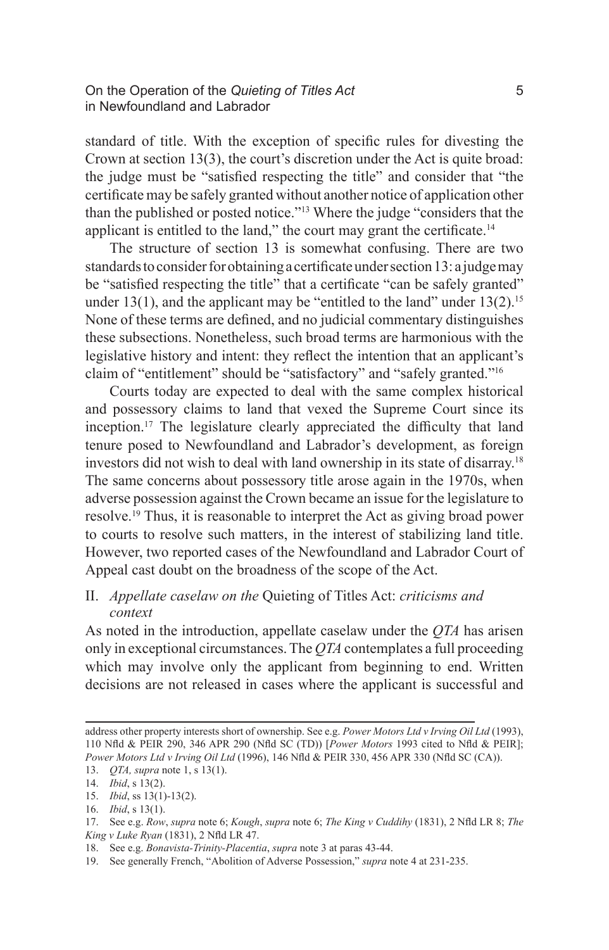standard of title. With the exception of specific rules for divesting the Crown at section 13(3), the court's discretion under the Act is quite broad: the judge must be "satisfied respecting the title" and consider that "the certificate may be safely granted without another notice of application other than the published or posted notice."13 Where the judge "considers that the applicant is entitled to the land," the court may grant the certificate. $14$ 

The structure of section 13 is somewhat confusing. There are two standards to consider for obtaining a certificate under section 13: a judge may be "satisfied respecting the title" that a certificate "can be safely granted" under 13(1), and the applicant may be "entitled to the land" under  $13(2)$ .<sup>15</sup> None of these terms are defined, and no judicial commentary distinguishes these subsections. Nonetheless, such broad terms are harmonious with the legislative history and intent: they reflect the intention that an applicant's claim of "entitlement" should be "satisfactory" and "safely granted."16

Courts today are expected to deal with the same complex historical and possessory claims to land that vexed the Supreme Court since its inception.17 The legislature clearly appreciated the difficulty that land tenure posed to Newfoundland and Labrador's development, as foreign investors did not wish to deal with land ownership in its state of disarray.18 The same concerns about possessory title arose again in the 1970s, when adverse possession against the Crown became an issue for the legislature to resolve.19 Thus, it is reasonable to interpret the Act as giving broad power to courts to resolve such matters, in the interest of stabilizing land title. However, two reported cases of the Newfoundland and Labrador Court of Appeal cast doubt on the broadness of the scope of the Act.

II. *Appellate caselaw on the* Quieting of Titles Act: *criticisms and context*

As noted in the introduction, appellate caselaw under the *QTA* has arisen only in exceptional circumstances. The *QTA* contemplates a full proceeding which may involve only the applicant from beginning to end. Written decisions are not released in cases where the applicant is successful and

address other property interests short of ownership. See e.g. *Power Motors Ltd v Irving Oil Ltd* (1993), 110 Nfld & PEIR 290, 346 APR 290 (Nfld SC (TD)) [*Power Motors* 1993 cited to Nfld & PEIR]; *Power Motors Ltd v Irving Oil Ltd* (1996), 146 Nfld & PEIR 330, 456 APR 330 (Nfld SC (CA)).

<sup>13.</sup> *QTA, supra* note 1, s 13(1).

<sup>14.</sup> *Ibid*, s 13(2).

<sup>15.</sup> *Ibid*, ss 13(1)-13(2).

<sup>16.</sup> *Ibid*, s 13(1).

<sup>17.</sup> See e.g. *Row*, *supra* note 6; *Kough*, *supra* note 6; *The King v Cuddihy* (1831), 2 Nfld LR 8; *The King v Luke Ryan* (1831), 2 Nfld LR 47.

<sup>18.</sup> See e.g. *Bonavista-Trinity-Placentia*, *supra* note 3 at paras 43-44.

<sup>19.</sup> See generally French, "Abolition of Adverse Possession," *supra* note 4 at 231-235.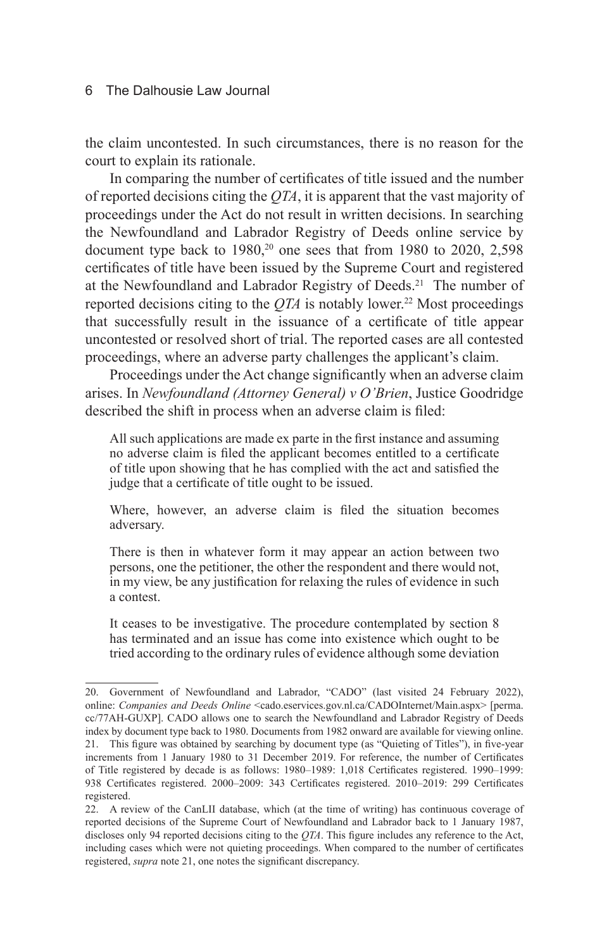the claim uncontested. In such circumstances, there is no reason for the court to explain its rationale.

In comparing the number of certificates of title issued and the number of reported decisions citing the *QTA*, it is apparent that the vast majority of proceedings under the Act do not result in written decisions. In searching the Newfoundland and Labrador Registry of Deeds online service by document type back to  $1980$ ,<sup>20</sup> one sees that from  $1980$  to  $2020$ ,  $2,598$ certificates of title have been issued by the Supreme Court and registered at the Newfoundland and Labrador Registry of Deeds.<sup>21</sup> The number of reported decisions citing to the  $OTA$  is notably lower.<sup>22</sup> Most proceedings that successfully result in the issuance of a certificate of title appear uncontested or resolved short of trial. The reported cases are all contested proceedings, where an adverse party challenges the applicant's claim.

Proceedings under the Act change significantly when an adverse claim arises. In *Newfoundland (Attorney General) v O'Brien*, Justice Goodridge described the shift in process when an adverse claim is filed:

All such applications are made ex parte in the first instance and assuming no adverse claim is filed the applicant becomes entitled to a certificate of title upon showing that he has complied with the act and satisfied the judge that a certificate of title ought to be issued.

Where, however, an adverse claim is filed the situation becomes adversary.

There is then in whatever form it may appear an action between two persons, one the petitioner, the other the respondent and there would not, in my view, be any justification for relaxing the rules of evidence in such a contest.

It ceases to be investigative. The procedure contemplated by section 8 has terminated and an issue has come into existence which ought to be tried according to the ordinary rules of evidence although some deviation

<sup>20.</sup> Government of Newfoundland and Labrador, "CADO" (last visited 24 February 2022), online: *Companies and Deeds Online* <cado.eservices.gov.nl.ca/CADOInternet/Main.aspx> [perma. cc/77AH-GUXP]. CADO allows one to search the Newfoundland and Labrador Registry of Deeds index by document type back to 1980. Documents from 1982 onward are available for viewing online. 21. This figure was obtained by searching by document type (as "Quieting of Titles"), in five-year increments from 1 January 1980 to 31 December 2019. For reference, the number of Certificates of Title registered by decade is as follows: 1980–1989: 1,018 Certificates registered. 1990–1999: 938 Certificates registered. 2000–2009: 343 Certificates registered. 2010–2019: 299 Certificates registered.

<sup>22.</sup> A review of the CanLII database, which (at the time of writing) has continuous coverage of reported decisions of the Supreme Court of Newfoundland and Labrador back to 1 January 1987, discloses only 94 reported decisions citing to the *QTA*. This figure includes any reference to the Act, including cases which were not quieting proceedings. When compared to the number of certificates registered, *supra* note 21, one notes the significant discrepancy.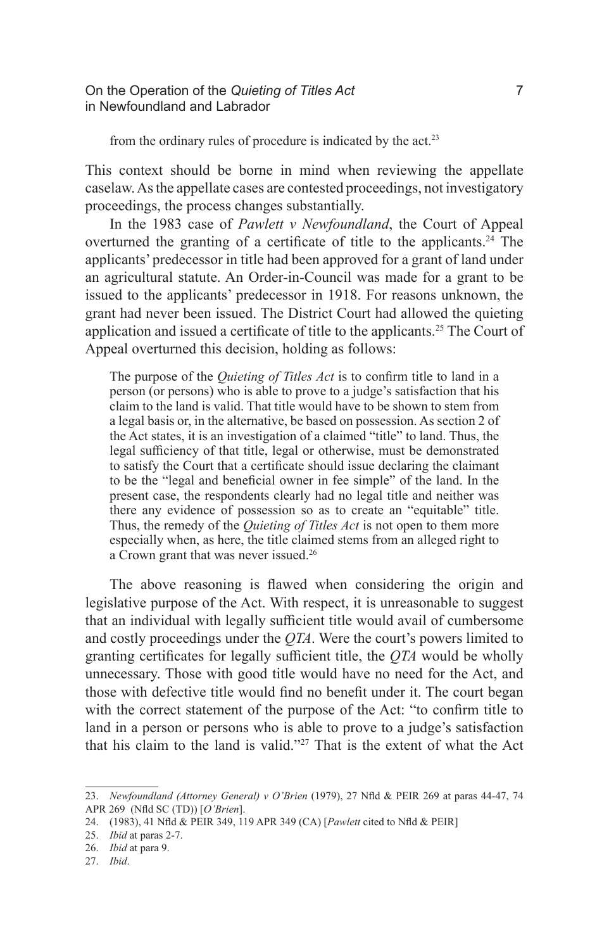On the Operation of the *Quieting of Titles Act* 7 in Newfoundland and Labrador

from the ordinary rules of procedure is indicated by the act.<sup>23</sup>

This context should be borne in mind when reviewing the appellate caselaw. As the appellate cases are contested proceedings, not investigatory proceedings, the process changes substantially.

In the 1983 case of *Pawlett v Newfoundland*, the Court of Appeal overturned the granting of a certificate of title to the applicants.<sup>24</sup> The applicants' predecessor in title had been approved for a grant of land under an agricultural statute. An Order-in-Council was made for a grant to be issued to the applicants' predecessor in 1918. For reasons unknown, the grant had never been issued. The District Court had allowed the quieting application and issued a certificate of title to the applicants.<sup>25</sup> The Court of Appeal overturned this decision, holding as follows:

The purpose of the *Quieting of Titles Act* is to confirm title to land in a person (or persons) who is able to prove to a judge's satisfaction that his claim to the land is valid. That title would have to be shown to stem from a legal basis or, in the alternative, be based on possession. As section 2 of the Act states, it is an investigation of a claimed "title" to land. Thus, the legal sufficiency of that title, legal or otherwise, must be demonstrated to satisfy the Court that a certificate should issue declaring the claimant to be the "legal and beneficial owner in fee simple" of the land. In the present case, the respondents clearly had no legal title and neither was there any evidence of possession so as to create an "equitable" title. Thus, the remedy of the *Quieting of Titles Act* is not open to them more especially when, as here, the title claimed stems from an alleged right to a Crown grant that was never issued.26

The above reasoning is flawed when considering the origin and legislative purpose of the Act. With respect, it is unreasonable to suggest that an individual with legally sufficient title would avail of cumbersome and costly proceedings under the *QTA*. Were the court's powers limited to granting certificates for legally sufficient title, the *QTA* would be wholly unnecessary. Those with good title would have no need for the Act, and those with defective title would find no benefit under it. The court began with the correct statement of the purpose of the Act: "to confirm title to land in a person or persons who is able to prove to a judge's satisfaction that his claim to the land is valid."27 That is the extent of what the Act

<sup>23.</sup> *Newfoundland (Attorney General) v O'Brien* (1979), 27 Nfld & PEIR 269 at paras 44-47, 74 APR 269 (Nfld SC (TD)) [*O'Brien*].

<sup>24.</sup> (1983), 41 Nfld & PEIR 349, 119 APR 349 (CA) [*Pawlett* cited to Nfld & PEIR]

<sup>25.</sup> *Ibid* at paras 2-7.

<sup>26.</sup> *Ibid* at para 9.

<sup>27.</sup> *Ibid*.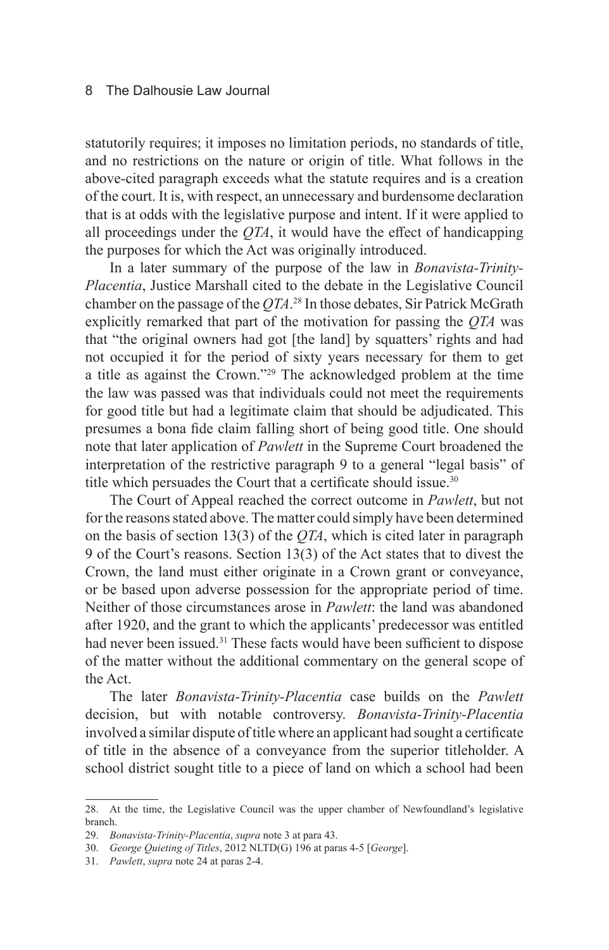statutorily requires; it imposes no limitation periods, no standards of title, and no restrictions on the nature or origin of title. What follows in the above-cited paragraph exceeds what the statute requires and is a creation of the court. It is, with respect, an unnecessary and burdensome declaration that is at odds with the legislative purpose and intent. If it were applied to all proceedings under the *QTA*, it would have the effect of handicapping the purposes for which the Act was originally introduced.

In a later summary of the purpose of the law in *Bonavista-Trinity-Placentia*, Justice Marshall cited to the debate in the Legislative Council chamber on the passage of the *QTA*. 28 In those debates, Sir Patrick McGrath explicitly remarked that part of the motivation for passing the *QTA* was that "the original owners had got [the land] by squatters' rights and had not occupied it for the period of sixty years necessary for them to get a title as against the Crown."29 The acknowledged problem at the time the law was passed was that individuals could not meet the requirements for good title but had a legitimate claim that should be adjudicated. This presumes a bona fide claim falling short of being good title. One should note that later application of *Pawlett* in the Supreme Court broadened the interpretation of the restrictive paragraph 9 to a general "legal basis" of title which persuades the Court that a certificate should issue.<sup>30</sup>

The Court of Appeal reached the correct outcome in *Pawlett*, but not for the reasons stated above. The matter could simply have been determined on the basis of section 13(3) of the *QTA*, which is cited later in paragraph 9 of the Court's reasons. Section 13(3) of the Act states that to divest the Crown, the land must either originate in a Crown grant or conveyance, or be based upon adverse possession for the appropriate period of time. Neither of those circumstances arose in *Pawlett*: the land was abandoned after 1920, and the grant to which the applicants' predecessor was entitled had never been issued.<sup>31</sup> These facts would have been sufficient to dispose of the matter without the additional commentary on the general scope of the Act.

The later *Bonavista-Trinity-Placentia* case builds on the *Pawlett*  decision, but with notable controversy. *Bonavista-Trinity-Placentia*  involved a similar dispute of title where an applicant had sought a certificate of title in the absence of a conveyance from the superior titleholder. A school district sought title to a piece of land on which a school had been

<sup>28.</sup> At the time, the Legislative Council was the upper chamber of Newfoundland's legislative branch.

<sup>29.</sup> *Bonavista-Trinity-Placentia*, *supra* note 3 at para 43.

<sup>30.</sup> *George Quieting of Titles*, 2012 NLTD(G) 196 at paras 4-5 [*George*].

<sup>31.</sup> *Pawlett*, *supra* note 24 at paras 2-4.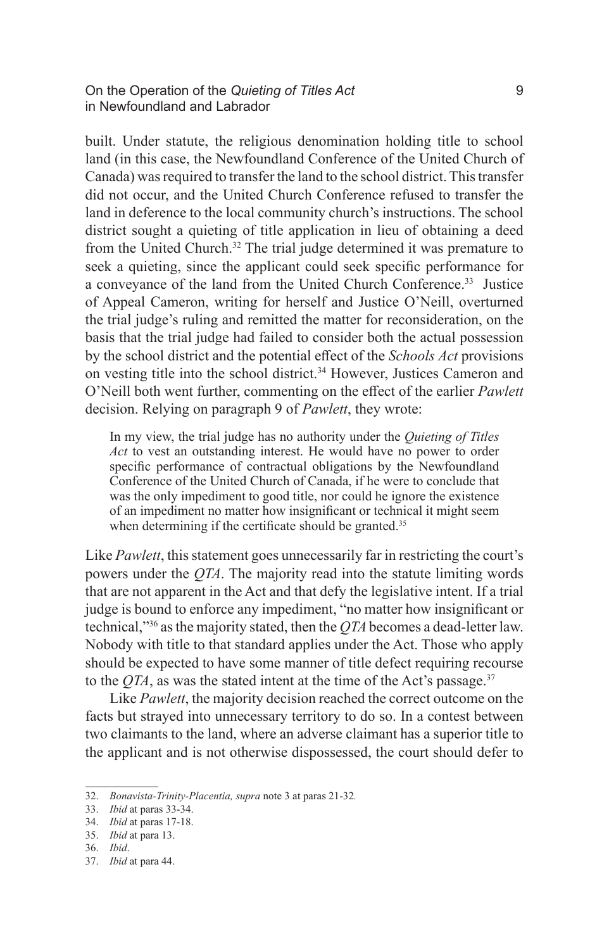On the Operation of the *Quieting of Titles Act* 9 in Newfoundland and Labrador

built. Under statute, the religious denomination holding title to school land (in this case, the Newfoundland Conference of the United Church of Canada) was required to transfer the land to the school district. This transfer did not occur, and the United Church Conference refused to transfer the land in deference to the local community church's instructions. The school district sought a quieting of title application in lieu of obtaining a deed from the United Church.<sup>32</sup> The trial judge determined it was premature to seek a quieting, since the applicant could seek specific performance for a conveyance of the land from the United Church Conference.<sup>33</sup> Justice of Appeal Cameron, writing for herself and Justice O'Neill, overturned the trial judge's ruling and remitted the matter for reconsideration, on the basis that the trial judge had failed to consider both the actual possession by the school district and the potential effect of the *Schools Act* provisions on vesting title into the school district.<sup>34</sup> However, Justices Cameron and O'Neill both went further, commenting on the effect of the earlier *Pawlett* decision. Relying on paragraph 9 of *Pawlett*, they wrote:

In my view, the trial judge has no authority under the *Quieting of Titles Act* to vest an outstanding interest. He would have no power to order specific performance of contractual obligations by the Newfoundland Conference of the United Church of Canada, if he were to conclude that was the only impediment to good title, nor could he ignore the existence of an impediment no matter how insignificant or technical it might seem when determining if the certificate should be granted.<sup>35</sup>

Like *Pawlett*, this statement goes unnecessarily far in restricting the court's powers under the *QTA*. The majority read into the statute limiting words that are not apparent in the Act and that defy the legislative intent. If a trial judge is bound to enforce any impediment, "no matter how insignificant or technical,"36 as the majority stated, then the *QTA* becomes a dead-letter law. Nobody with title to that standard applies under the Act. Those who apply should be expected to have some manner of title defect requiring recourse to the  $QTA$ , as was the stated intent at the time of the Act's passage.<sup>37</sup>

Like *Pawlett*, the majority decision reached the correct outcome on the facts but strayed into unnecessary territory to do so. In a contest between two claimants to the land, where an adverse claimant has a superior title to the applicant and is not otherwise dispossessed, the court should defer to

<sup>32.</sup> *Bonavista-Trinity-Placentia, supra* note 3 at paras 21-32*.*

<sup>33.</sup> *Ibid* at paras 33-34.

<sup>34.</sup> *Ibid* at paras 17-18.

<sup>35.</sup> *Ibid* at para 13.

<sup>36.</sup> *Ibid*.

<sup>37.</sup> *Ibid* at para 44.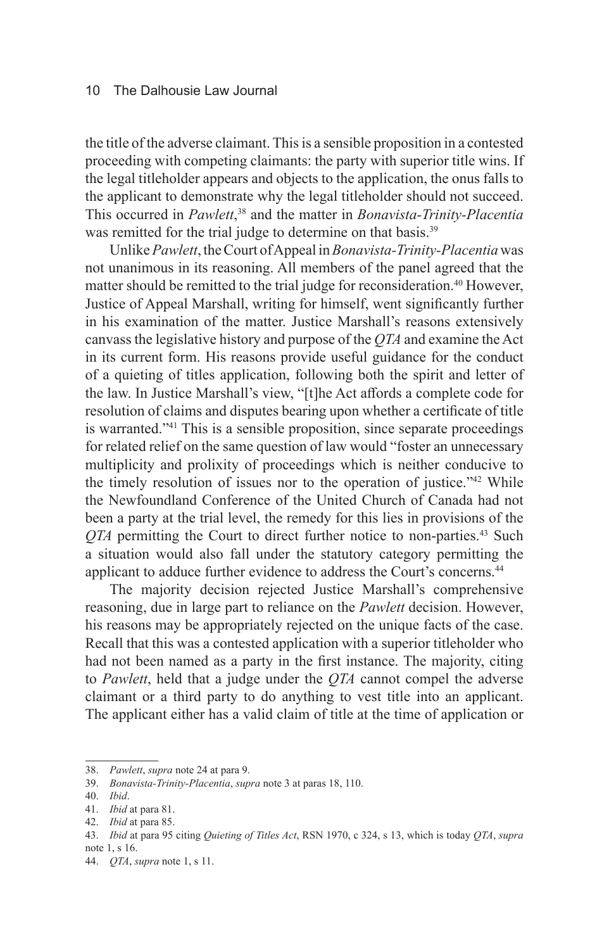the title of the adverse claimant. This is a sensible proposition in a contested proceeding with competing claimants: the party with superior title wins. If the legal titleholder appears and objects to the application, the onus falls to the applicant to demonstrate why the legal titleholder should not succeed. This occurred in *Pawlett*, 38 and the matter in *Bonavista-Trinity-Placentia* was remitted for the trial judge to determine on that basis.<sup>39</sup>

Unlike *Pawlett*, the Court of Appeal in *Bonavista-Trinity-Placentia* was not unanimous in its reasoning. All members of the panel agreed that the matter should be remitted to the trial judge for reconsideration.<sup>40</sup> However, Justice of Appeal Marshall, writing for himself, went significantly further in his examination of the matter. Justice Marshall's reasons extensively canvass the legislative history and purpose of the *QTA* and examine the Act in its current form. His reasons provide useful guidance for the conduct of a quieting of titles application, following both the spirit and letter of the law. In Justice Marshall's view, "[t]he Act affords a complete code for resolution of claims and disputes bearing upon whether a certificate of title is warranted."41 This is a sensible proposition, since separate proceedings for related relief on the same question of law would "foster an unnecessary multiplicity and prolixity of proceedings which is neither conducive to the timely resolution of issues nor to the operation of justice."42 While the Newfoundland Conference of the United Church of Canada had not been a party at the trial level, the remedy for this lies in provisions of the *QTA* permitting the Court to direct further notice to non-parties.<sup>43</sup> Such a situation would also fall under the statutory category permitting the applicant to adduce further evidence to address the Court's concerns.<sup>44</sup>

The majority decision rejected Justice Marshall's comprehensive reasoning, due in large part to reliance on the *Pawlett* decision. However, his reasons may be appropriately rejected on the unique facts of the case. Recall that this was a contested application with a superior titleholder who had not been named as a party in the first instance. The majority, citing to *Pawlett*, held that a judge under the *QTA* cannot compel the adverse claimant or a third party to do anything to vest title into an applicant. The applicant either has a valid claim of title at the time of application or

<sup>38.</sup> *Pawlett*, *supra* note 24 at para 9.

<sup>39.</sup> *Bonavista-Trinity-Placentia*, *supra* note 3 at paras 18, 110.

<sup>40.</sup> *Ibid*.

<sup>41.</sup> *Ibid* at para 81.

<sup>42.</sup> *Ibid* at para 85.

<sup>43.</sup> *Ibid* at para 95 citing *Quieting of Titles Act*, RSN 1970, c 324, s 13, which is today *QTA*, *supra* note 1, s 16.

<sup>44.</sup> *QTA*, *supra* note 1, s 11.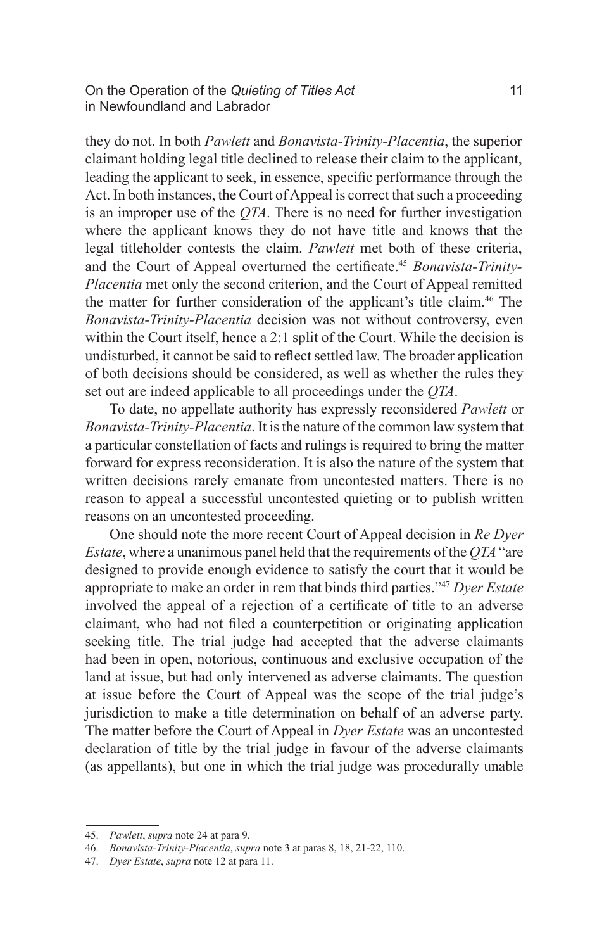On the Operation of the *Quieting of Titles Act* 11 in Newfoundland and Labrador

they do not. In both *Pawlett* and *Bonavista-Trinity-Placentia*, the superior claimant holding legal title declined to release their claim to the applicant, leading the applicant to seek, in essence, specific performance through the Act. In both instances, the Court of Appeal is correct that such a proceeding is an improper use of the *QTA*. There is no need for further investigation where the applicant knows they do not have title and knows that the legal titleholder contests the claim. *Pawlett* met both of these criteria, and the Court of Appeal overturned the certificate.<sup>45</sup> *Bonavista-Trinity-Placentia* met only the second criterion, and the Court of Appeal remitted the matter for further consideration of the applicant's title claim.<sup>46</sup> The *Bonavista-Trinity-Placentia* decision was not without controversy, even within the Court itself, hence a 2:1 split of the Court. While the decision is undisturbed, it cannot be said to reflect settled law. The broader application of both decisions should be considered, as well as whether the rules they set out are indeed applicable to all proceedings under the *QTA*.

To date, no appellate authority has expressly reconsidered *Pawlett* or *Bonavista-Trinity-Placentia*. It is the nature of the common law system that a particular constellation of facts and rulings is required to bring the matter forward for express reconsideration. It is also the nature of the system that written decisions rarely emanate from uncontested matters. There is no reason to appeal a successful uncontested quieting or to publish written reasons on an uncontested proceeding.

One should note the more recent Court of Appeal decision in *Re Dyer Estate*, where a unanimous panel held that the requirements of the *QTA* "are designed to provide enough evidence to satisfy the court that it would be appropriate to make an order in rem that binds third parties."47 *Dyer Estate* involved the appeal of a rejection of a certificate of title to an adverse claimant, who had not filed a counterpetition or originating application seeking title. The trial judge had accepted that the adverse claimants had been in open, notorious, continuous and exclusive occupation of the land at issue, but had only intervened as adverse claimants. The question at issue before the Court of Appeal was the scope of the trial judge's jurisdiction to make a title determination on behalf of an adverse party. The matter before the Court of Appeal in *Dyer Estate* was an uncontested declaration of title by the trial judge in favour of the adverse claimants (as appellants), but one in which the trial judge was procedurally unable

<sup>45.</sup> *Pawlett*, *supra* note 24 at para 9.

<sup>46.</sup> *Bonavista-Trinity-Placentia*, *supra* note 3 at paras 8, 18, 21-22, 110.

<sup>47.</sup> *Dyer Estate*, *supra* note 12 at para 11.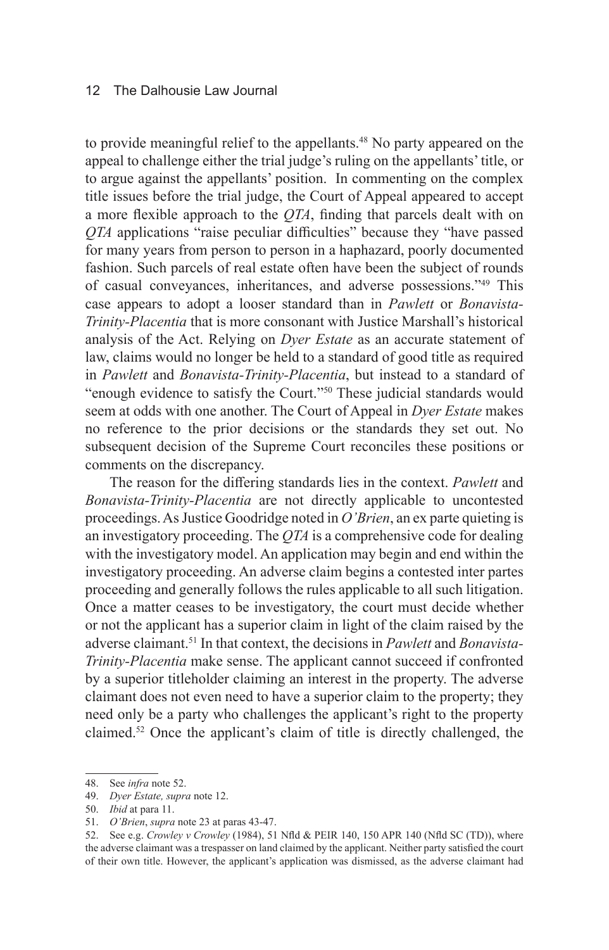to provide meaningful relief to the appellants.<sup>48</sup> No party appeared on the appeal to challenge either the trial judge's ruling on the appellants' title, or to argue against the appellants' position. In commenting on the complex title issues before the trial judge, the Court of Appeal appeared to accept a more flexible approach to the *QTA*, finding that parcels dealt with on *QTA* applications "raise peculiar difficulties" because they "have passed for many years from person to person in a haphazard, poorly documented fashion. Such parcels of real estate often have been the subject of rounds of casual conveyances, inheritances, and adverse possessions."49 This case appears to adopt a looser standard than in *Pawlett* or *Bonavista-Trinity-Placentia* that is more consonant with Justice Marshall's historical analysis of the Act. Relying on *Dyer Estate* as an accurate statement of law, claims would no longer be held to a standard of good title as required in *Pawlett* and *Bonavista-Trinity-Placentia*, but instead to a standard of "enough evidence to satisfy the Court."50 These judicial standards would seem at odds with one another. The Court of Appeal in *Dyer Estate* makes no reference to the prior decisions or the standards they set out. No subsequent decision of the Supreme Court reconciles these positions or comments on the discrepancy.

The reason for the differing standards lies in the context. *Pawlett* and *Bonavista-Trinity-Placentia* are not directly applicable to uncontested proceedings. As Justice Goodridge noted in *O'Brien*, an ex parte quieting is an investigatory proceeding. The *QTA* is a comprehensive code for dealing with the investigatory model. An application may begin and end within the investigatory proceeding. An adverse claim begins a contested inter partes proceeding and generally follows the rules applicable to all such litigation. Once a matter ceases to be investigatory, the court must decide whether or not the applicant has a superior claim in light of the claim raised by the adverse claimant.51 In that context, the decisions in *Pawlett* and *Bonavista-Trinity-Placentia* make sense. The applicant cannot succeed if confronted by a superior titleholder claiming an interest in the property. The adverse claimant does not even need to have a superior claim to the property; they need only be a party who challenges the applicant's right to the property claimed.52 Once the applicant's claim of title is directly challenged, the

<sup>48.</sup> See *infra* note 52.

<sup>49.</sup> *Dyer Estate, supra* note 12.

<sup>50.</sup> *Ibid* at para 11.

<sup>51.</sup> *O'Brien*, *supra* note 23 at paras 43-47.

<sup>52.</sup> See e.g. *Crowley v Crowley* (1984), 51 Nfld & PEIR 140, 150 APR 140 (Nfld SC (TD)), where the adverse claimant was a trespasser on land claimed by the applicant. Neither party satisfied the court of their own title. However, the applicant's application was dismissed, as the adverse claimant had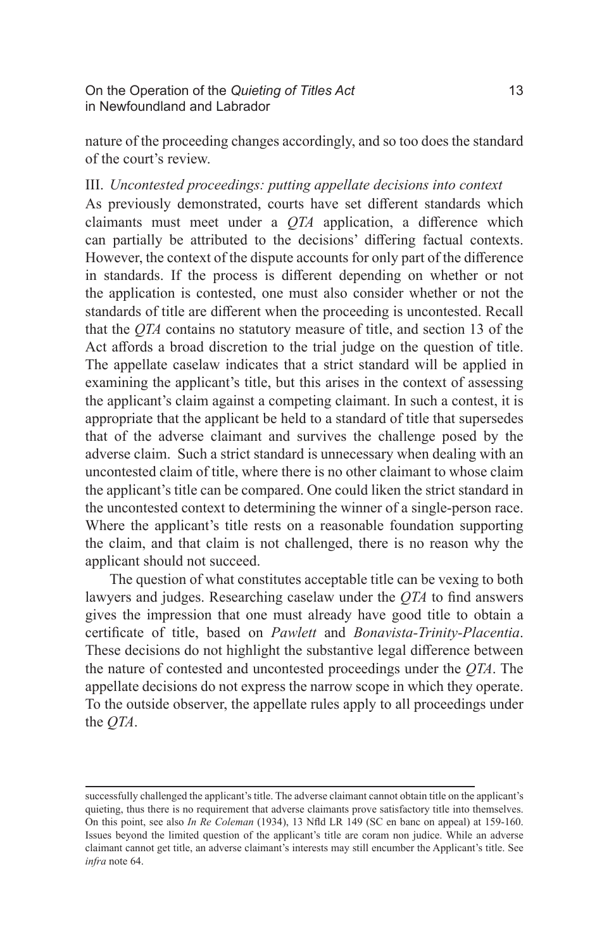nature of the proceeding changes accordingly, and so too does the standard of the court's review.

#### III. *Uncontested proceedings: putting appellate decisions into context*

As previously demonstrated, courts have set different standards which claimants must meet under a *QTA* application, a difference which can partially be attributed to the decisions' differing factual contexts. However, the context of the dispute accounts for only part of the difference in standards. If the process is different depending on whether or not the application is contested, one must also consider whether or not the standards of title are different when the proceeding is uncontested. Recall that the *QTA* contains no statutory measure of title, and section 13 of the Act affords a broad discretion to the trial judge on the question of title. The appellate caselaw indicates that a strict standard will be applied in examining the applicant's title, but this arises in the context of assessing the applicant's claim against a competing claimant. In such a contest, it is appropriate that the applicant be held to a standard of title that supersedes that of the adverse claimant and survives the challenge posed by the adverse claim. Such a strict standard is unnecessary when dealing with an uncontested claim of title, where there is no other claimant to whose claim the applicant's title can be compared. One could liken the strict standard in the uncontested context to determining the winner of a single-person race. Where the applicant's title rests on a reasonable foundation supporting the claim, and that claim is not challenged, there is no reason why the applicant should not succeed.

The question of what constitutes acceptable title can be vexing to both lawyers and judges. Researching caselaw under the *QTA* to find answers gives the impression that one must already have good title to obtain a certificate of title, based on *Pawlett* and *Bonavista-Trinity-Placentia*. These decisions do not highlight the substantive legal difference between the nature of contested and uncontested proceedings under the *QTA*. The appellate decisions do not express the narrow scope in which they operate. To the outside observer, the appellate rules apply to all proceedings under the *QTA*.

successfully challenged the applicant's title. The adverse claimant cannot obtain title on the applicant's quieting, thus there is no requirement that adverse claimants prove satisfactory title into themselves. On this point, see also *In Re Coleman* (1934), 13 Nfld LR 149 (SC en banc on appeal) at 159-160. Issues beyond the limited question of the applicant's title are coram non judice. While an adverse claimant cannot get title, an adverse claimant's interests may still encumber the Applicant's title. See *infra* note 64.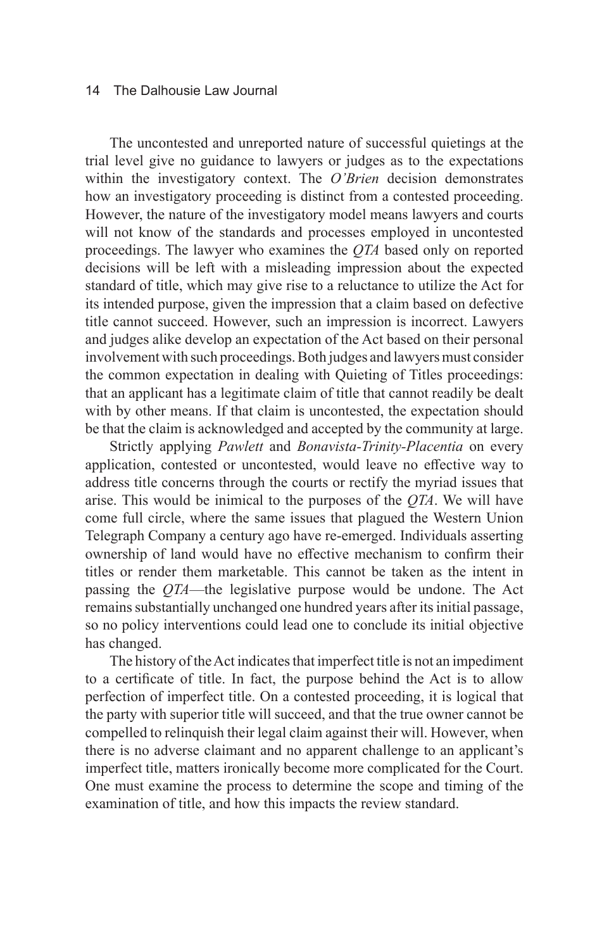The uncontested and unreported nature of successful quietings at the trial level give no guidance to lawyers or judges as to the expectations within the investigatory context. The *O'Brien* decision demonstrates how an investigatory proceeding is distinct from a contested proceeding. However, the nature of the investigatory model means lawyers and courts will not know of the standards and processes employed in uncontested proceedings. The lawyer who examines the *QTA* based only on reported decisions will be left with a misleading impression about the expected standard of title, which may give rise to a reluctance to utilize the Act for its intended purpose, given the impression that a claim based on defective title cannot succeed. However, such an impression is incorrect. Lawyers and judges alike develop an expectation of the Act based on their personal involvement with such proceedings. Both judges and lawyers must consider the common expectation in dealing with Quieting of Titles proceedings: that an applicant has a legitimate claim of title that cannot readily be dealt with by other means. If that claim is uncontested, the expectation should be that the claim is acknowledged and accepted by the community at large.

Strictly applying *Pawlett* and *Bonavista-Trinity-Placentia* on every application, contested or uncontested, would leave no effective way to address title concerns through the courts or rectify the myriad issues that arise. This would be inimical to the purposes of the *QTA*. We will have come full circle, where the same issues that plagued the Western Union Telegraph Company a century ago have re-emerged. Individuals asserting ownership of land would have no effective mechanism to confirm their titles or render them marketable. This cannot be taken as the intent in passing the *QTA*—the legislative purpose would be undone. The Act remains substantially unchanged one hundred years after its initial passage, so no policy interventions could lead one to conclude its initial objective has changed.

The history of the Act indicates that imperfect title is not an impediment to a certificate of title. In fact, the purpose behind the Act is to allow perfection of imperfect title. On a contested proceeding, it is logical that the party with superior title will succeed, and that the true owner cannot be compelled to relinquish their legal claim against their will. However, when there is no adverse claimant and no apparent challenge to an applicant's imperfect title, matters ironically become more complicated for the Court. One must examine the process to determine the scope and timing of the examination of title, and how this impacts the review standard.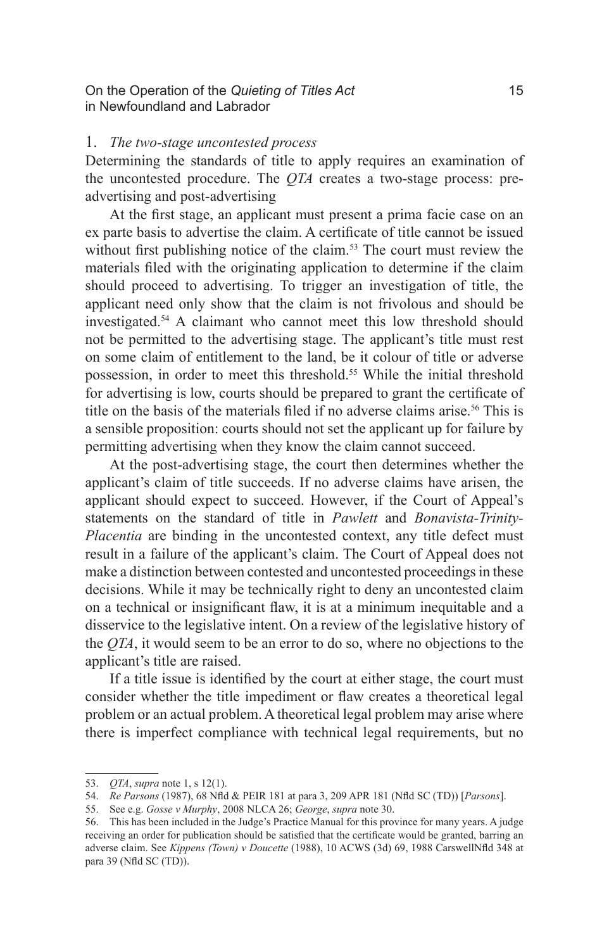On the Operation of the *Quieting of Titles Act* 15 in Newfoundland and Labrador

#### 1. *The two-stage uncontested process*

Determining the standards of title to apply requires an examination of the uncontested procedure. The *QTA* creates a two-stage process: preadvertising and post-advertising

At the first stage, an applicant must present a prima facie case on an ex parte basis to advertise the claim. A certificate of title cannot be issued without first publishing notice of the claim.<sup>53</sup> The court must review the materials filed with the originating application to determine if the claim should proceed to advertising. To trigger an investigation of title, the applicant need only show that the claim is not frivolous and should be investigated.54 A claimant who cannot meet this low threshold should not be permitted to the advertising stage. The applicant's title must rest on some claim of entitlement to the land, be it colour of title or adverse possession, in order to meet this threshold.<sup>55</sup> While the initial threshold for advertising is low, courts should be prepared to grant the certificate of title on the basis of the materials filed if no adverse claims arise.<sup>56</sup> This is a sensible proposition: courts should not set the applicant up for failure by permitting advertising when they know the claim cannot succeed.

At the post-advertising stage, the court then determines whether the applicant's claim of title succeeds. If no adverse claims have arisen, the applicant should expect to succeed. However, if the Court of Appeal's statements on the standard of title in *Pawlett* and *Bonavista-Trinity-Placentia* are binding in the uncontested context, any title defect must result in a failure of the applicant's claim. The Court of Appeal does not make a distinction between contested and uncontested proceedings in these decisions. While it may be technically right to deny an uncontested claim on a technical or insignificant flaw, it is at a minimum inequitable and a disservice to the legislative intent. On a review of the legislative history of the *QTA*, it would seem to be an error to do so, where no objections to the applicant's title are raised.

If a title issue is identified by the court at either stage, the court must consider whether the title impediment or flaw creates a theoretical legal problem or an actual problem. A theoretical legal problem may arise where there is imperfect compliance with technical legal requirements, but no

<sup>53.</sup> *QTA*, *supra* note 1, s 12(1).

<sup>54.</sup> *Re Parsons* (1987), 68 Nfld & PEIR 181 at para 3, 209 APR 181 (Nfld SC (TD)) [*Parsons*].

<sup>55.</sup> See e.g. *Gosse v Murphy*, 2008 NLCA 26; *George*, *supra* note 30.

<sup>56.</sup> This has been included in the Judge's Practice Manual for this province for many years. A judge receiving an order for publication should be satisfied that the certificate would be granted, barring an adverse claim. See *Kippens (Town) v Doucette* (1988), 10 ACWS (3d) 69, 1988 CarswellNfld 348 at para 39 (Nfld SC (TD)).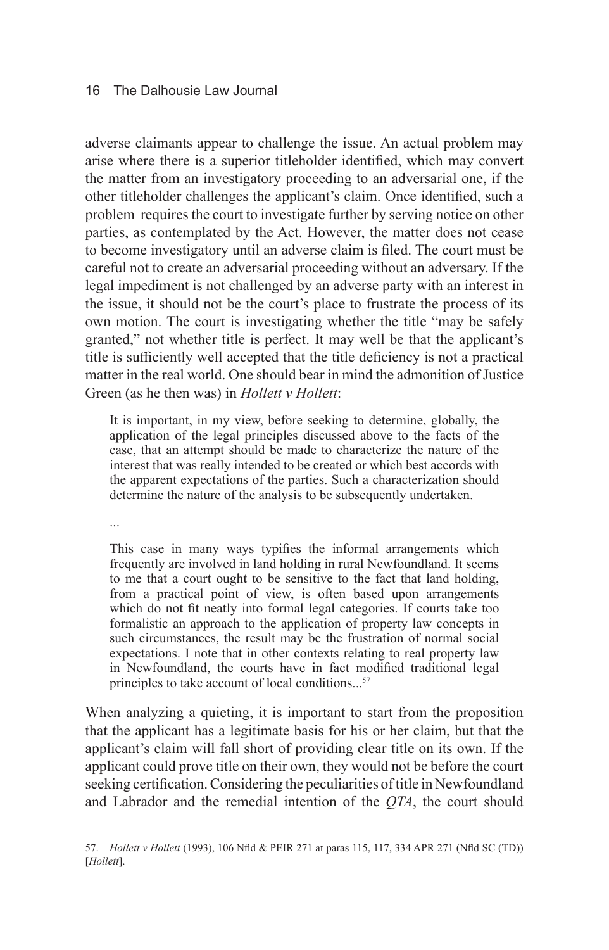adverse claimants appear to challenge the issue. An actual problem may arise where there is a superior titleholder identified, which may convert the matter from an investigatory proceeding to an adversarial one, if the other titleholder challenges the applicant's claim. Once identified, such a problem requires the court to investigate further by serving notice on other parties, as contemplated by the Act. However, the matter does not cease to become investigatory until an adverse claim is filed. The court must be careful not to create an adversarial proceeding without an adversary. If the legal impediment is not challenged by an adverse party with an interest in the issue, it should not be the court's place to frustrate the process of its own motion. The court is investigating whether the title "may be safely granted," not whether title is perfect. It may well be that the applicant's title is sufficiently well accepted that the title deficiency is not a practical matter in the real world. One should bear in mind the admonition of Justice Green (as he then was) in *Hollett v Hollett*:

It is important, in my view, before seeking to determine, globally, the application of the legal principles discussed above to the facts of the case, that an attempt should be made to characterize the nature of the interest that was really intended to be created or which best accords with the apparent expectations of the parties. Such a characterization should determine the nature of the analysis to be subsequently undertaken.

...

This case in many ways typifies the informal arrangements which frequently are involved in land holding in rural Newfoundland. It seems to me that a court ought to be sensitive to the fact that land holding, from a practical point of view, is often based upon arrangements which do not fit neatly into formal legal categories. If courts take too formalistic an approach to the application of property law concepts in such circumstances, the result may be the frustration of normal social expectations. I note that in other contexts relating to real property law in Newfoundland, the courts have in fact modified traditional legal principles to take account of local conditions...<sup>57</sup>

When analyzing a quieting, it is important to start from the proposition that the applicant has a legitimate basis for his or her claim, but that the applicant's claim will fall short of providing clear title on its own. If the applicant could prove title on their own, they would not be before the court seeking certification. Considering the peculiarities of title in Newfoundland and Labrador and the remedial intention of the *QTA*, the court should

<sup>57.</sup> *Hollett v Hollett* (1993), 106 Nfld & PEIR 271 at paras 115, 117, 334 APR 271 (Nfld SC (TD)) [*Hollett*].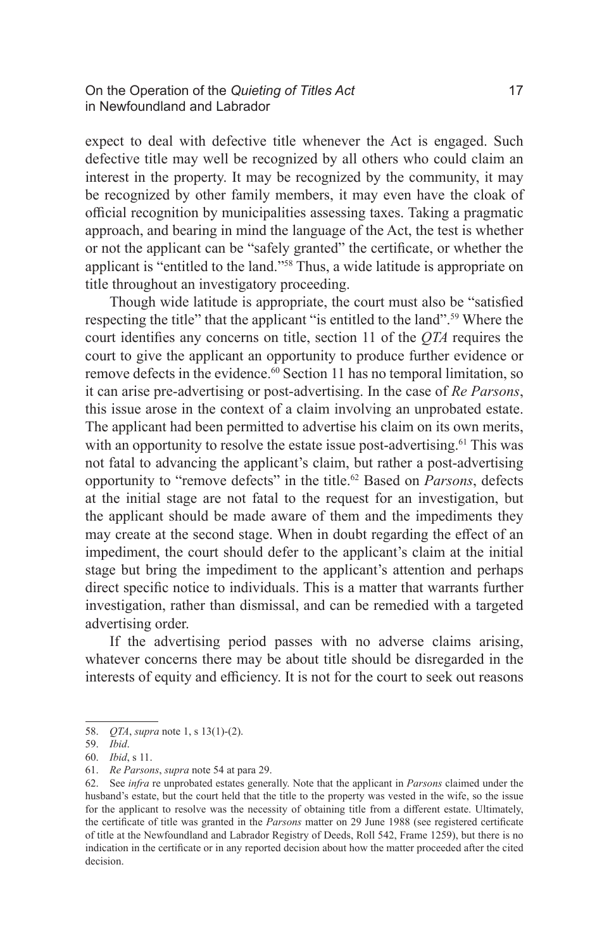expect to deal with defective title whenever the Act is engaged. Such defective title may well be recognized by all others who could claim an interest in the property. It may be recognized by the community, it may be recognized by other family members, it may even have the cloak of official recognition by municipalities assessing taxes. Taking a pragmatic approach, and bearing in mind the language of the Act, the test is whether or not the applicant can be "safely granted" the certificate, or whether the applicant is "entitled to the land."58 Thus, a wide latitude is appropriate on title throughout an investigatory proceeding.

Though wide latitude is appropriate, the court must also be "satisfied respecting the title" that the applicant "is entitled to the land".59 Where the court identifies any concerns on title, section 11 of the *QTA* requires the court to give the applicant an opportunity to produce further evidence or remove defects in the evidence.<sup>60</sup> Section 11 has no temporal limitation, so it can arise pre-advertising or post-advertising. In the case of *Re Parsons*, this issue arose in the context of a claim involving an unprobated estate. The applicant had been permitted to advertise his claim on its own merits, with an opportunity to resolve the estate issue post-advertising.<sup>61</sup> This was not fatal to advancing the applicant's claim, but rather a post-advertising opportunity to "remove defects" in the title.<sup>62</sup> Based on *Parsons*, defects at the initial stage are not fatal to the request for an investigation, but the applicant should be made aware of them and the impediments they may create at the second stage. When in doubt regarding the effect of an impediment, the court should defer to the applicant's claim at the initial stage but bring the impediment to the applicant's attention and perhaps direct specific notice to individuals. This is a matter that warrants further investigation, rather than dismissal, and can be remedied with a targeted advertising order.

If the advertising period passes with no adverse claims arising, whatever concerns there may be about title should be disregarded in the interests of equity and efficiency. It is not for the court to seek out reasons

<sup>58.</sup> *QTA*, *supra* note 1, s 13(1)-(2).

<sup>59.</sup> *Ibid*.

<sup>60.</sup> *Ibid*, s 11.

<sup>61.</sup> *Re Parsons*, *supra* note 54 at para 29.

<sup>62.</sup> See *infra* re unprobated estates generally. Note that the applicant in *Parsons* claimed under the husband's estate, but the court held that the title to the property was vested in the wife, so the issue for the applicant to resolve was the necessity of obtaining title from a different estate. Ultimately, the certificate of title was granted in the *Parsons* matter on 29 June 1988 (see registered certificate of title at the Newfoundland and Labrador Registry of Deeds, Roll 542, Frame 1259), but there is no indication in the certificate or in any reported decision about how the matter proceeded after the cited decision.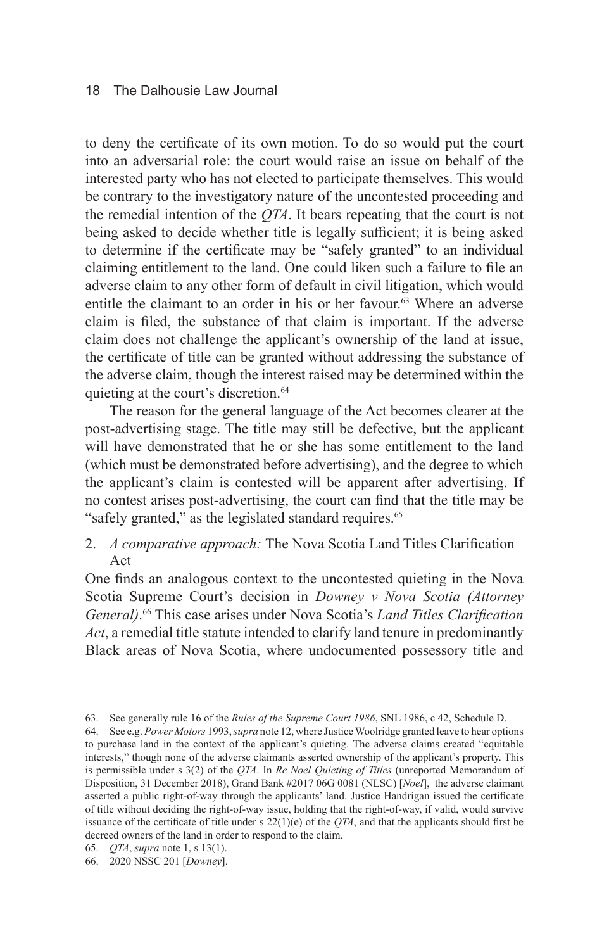to deny the certificate of its own motion. To do so would put the court into an adversarial role: the court would raise an issue on behalf of the interested party who has not elected to participate themselves. This would be contrary to the investigatory nature of the uncontested proceeding and the remedial intention of the *QTA*. It bears repeating that the court is not being asked to decide whether title is legally sufficient; it is being asked to determine if the certificate may be "safely granted" to an individual claiming entitlement to the land. One could liken such a failure to file an adverse claim to any other form of default in civil litigation, which would entitle the claimant to an order in his or her favour.<sup>63</sup> Where an adverse claim is filed, the substance of that claim is important. If the adverse claim does not challenge the applicant's ownership of the land at issue, the certificate of title can be granted without addressing the substance of the adverse claim, though the interest raised may be determined within the quieting at the court's discretion.<sup>64</sup>

The reason for the general language of the Act becomes clearer at the post-advertising stage. The title may still be defective, but the applicant will have demonstrated that he or she has some entitlement to the land (which must be demonstrated before advertising), and the degree to which the applicant's claim is contested will be apparent after advertising. If no contest arises post-advertising, the court can find that the title may be "safely granted," as the legislated standard requires.<sup>65</sup>

2. *A comparative approach:* The Nova Scotia Land Titles Clarification Act

One finds an analogous context to the uncontested quieting in the Nova Scotia Supreme Court's decision in *Downey v Nova Scotia (Attorney General)*. 66 This case arises under Nova Scotia's *Land Titles Clarification Act*, a remedial title statute intended to clarify land tenure in predominantly Black areas of Nova Scotia, where undocumented possessory title and

<sup>63.</sup> See generally rule 16 of the *Rules of the Supreme Court 1986*, SNL 1986, c 42, Schedule D.

<sup>64.</sup> See e.g. *Power Motors* 1993, *supra* note 12, where Justice Woolridge granted leave to hear options to purchase land in the context of the applicant's quieting. The adverse claims created "equitable interests," though none of the adverse claimants asserted ownership of the applicant's property. This is permissible under s 3(2) of the *QTA*. In *Re Noel Quieting of Titles* (unreported Memorandum of Disposition, 31 December 2018), Grand Bank #2017 06G 0081 (NLSC) [*Noel*], the adverse claimant asserted a public right-of-way through the applicants' land. Justice Handrigan issued the certificate of title without deciding the right-of-way issue, holding that the right-of-way, if valid, would survive issuance of the certificate of title under s  $22(1)(e)$  of the *QTA*, and that the applicants should first be decreed owners of the land in order to respond to the claim.

<sup>65.</sup> *QTA*, *supra* note 1, s 13(1).

<sup>66.</sup> 2020 NSSC 201 [*Downey*].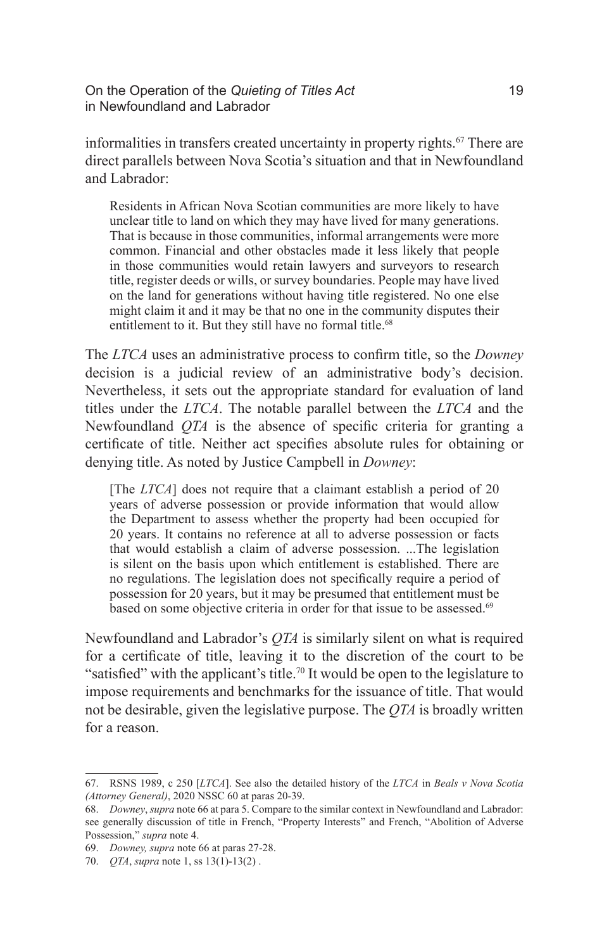On the Operation of the *Quieting of Titles Act* 19 in Newfoundland and Labrador

informalities in transfers created uncertainty in property rights.<sup>67</sup> There are direct parallels between Nova Scotia's situation and that in Newfoundland and Labrador:

Residents in African Nova Scotian communities are more likely to have unclear title to land on which they may have lived for many generations. That is because in those communities, informal arrangements were more common. Financial and other obstacles made it less likely that people in those communities would retain lawyers and surveyors to research title, register deeds or wills, or survey boundaries. People may have lived on the land for generations without having title registered. No one else might claim it and it may be that no one in the community disputes their entitlement to it. But they still have no formal title.<sup>68</sup>

The *LTCA* uses an administrative process to confirm title, so the *Downey*  decision is a judicial review of an administrative body's decision. Nevertheless, it sets out the appropriate standard for evaluation of land titles under the *LTCA*. The notable parallel between the *LTCA* and the Newfoundland *QTA* is the absence of specific criteria for granting a certificate of title. Neither act specifies absolute rules for obtaining or denying title. As noted by Justice Campbell in *Downey*:

[The *LTCA*] does not require that a claimant establish a period of 20 years of adverse possession or provide information that would allow the Department to assess whether the property had been occupied for 20 years. It contains no reference at all to adverse possession or facts that would establish a claim of adverse possession. ...The legislation is silent on the basis upon which entitlement is established. There are no regulations. The legislation does not specifically require a period of possession for 20 years, but it may be presumed that entitlement must be based on some objective criteria in order for that issue to be assessed.<sup>69</sup>

Newfoundland and Labrador's *QTA* is similarly silent on what is required for a certificate of title, leaving it to the discretion of the court to be "satisfied" with the applicant's title.<sup>70</sup> It would be open to the legislature to impose requirements and benchmarks for the issuance of title. That would not be desirable, given the legislative purpose. The *QTA* is broadly written for a reason.

<sup>67.</sup> RSNS 1989, c 250 [*LTCA*]. See also the detailed history of the *LTCA* in *Beals v Nova Scotia (Attorney General)*, 2020 NSSC 60 at paras 20-39.

<sup>68.</sup> *Downey*, *supra* note 66 at para 5. Compare to the similar context in Newfoundland and Labrador: see generally discussion of title in French, "Property Interests" and French, "Abolition of Adverse Possession," *supra* note 4.

<sup>69.</sup> *Downey, supra* note 66 at paras 27-28.

<sup>70.</sup> *QTA*, *supra* note 1, ss 13(1)-13(2) .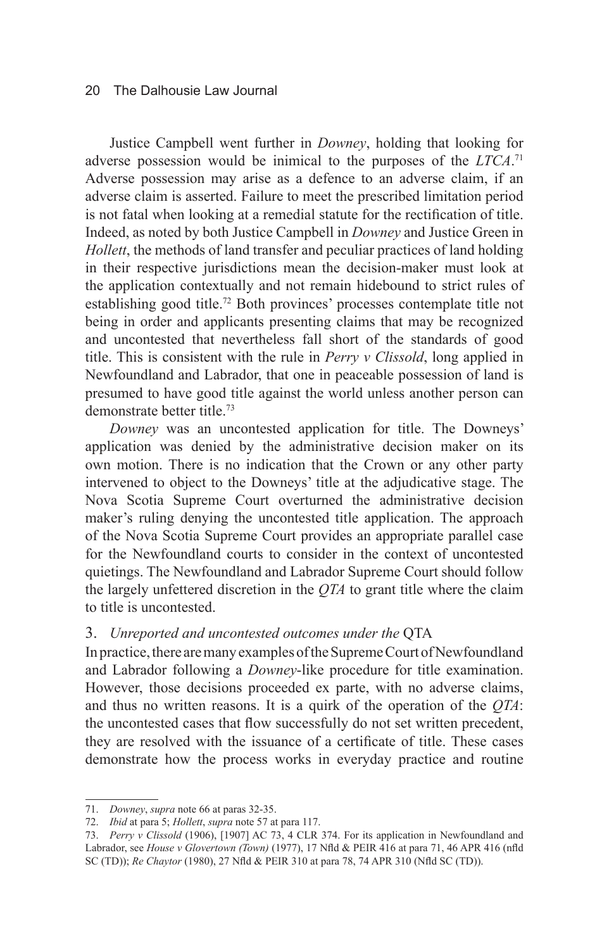Justice Campbell went further in *Downey*, holding that looking for adverse possession would be inimical to the purposes of the *LTCA*. 71 Adverse possession may arise as a defence to an adverse claim, if an adverse claim is asserted. Failure to meet the prescribed limitation period is not fatal when looking at a remedial statute for the rectification of title. Indeed, as noted by both Justice Campbell in *Downey* and Justice Green in *Hollett*, the methods of land transfer and peculiar practices of land holding in their respective jurisdictions mean the decision-maker must look at the application contextually and not remain hidebound to strict rules of establishing good title.<sup>72</sup> Both provinces' processes contemplate title not being in order and applicants presenting claims that may be recognized and uncontested that nevertheless fall short of the standards of good title. This is consistent with the rule in *Perry v Clissold*, long applied in Newfoundland and Labrador, that one in peaceable possession of land is presumed to have good title against the world unless another person can demonstrate better title.73

*Downey* was an uncontested application for title. The Downeys' application was denied by the administrative decision maker on its own motion. There is no indication that the Crown or any other party intervened to object to the Downeys' title at the adjudicative stage. The Nova Scotia Supreme Court overturned the administrative decision maker's ruling denying the uncontested title application. The approach of the Nova Scotia Supreme Court provides an appropriate parallel case for the Newfoundland courts to consider in the context of uncontested quietings. The Newfoundland and Labrador Supreme Court should follow the largely unfettered discretion in the *QTA* to grant title where the claim to title is uncontested.

#### 3. *Unreported and uncontested outcomes under the* QTA

In practice, there are many examples of the Supreme Court of Newfoundland and Labrador following a *Downey*-like procedure for title examination. However, those decisions proceeded ex parte, with no adverse claims, and thus no written reasons. It is a quirk of the operation of the *QTA*: the uncontested cases that flow successfully do not set written precedent, they are resolved with the issuance of a certificate of title. These cases demonstrate how the process works in everyday practice and routine

<sup>71.</sup> *Downey*, *supra* note 66 at paras 32-35.

<sup>72.</sup> *Ibid* at para 5; *Hollett*, *supra* note 57 at para 117.

<sup>73.</sup> *Perry v Clissold* (1906), [1907] AC 73, 4 CLR 374. For its application in Newfoundland and Labrador, see *House v Glovertown (Town)* (1977), 17 Nfld & PEIR 416 at para 71, 46 APR 416 (nfld SC (TD)); *Re Chaytor* (1980), 27 Nfld & PEIR 310 at para 78, 74 APR 310 (Nfld SC (TD)).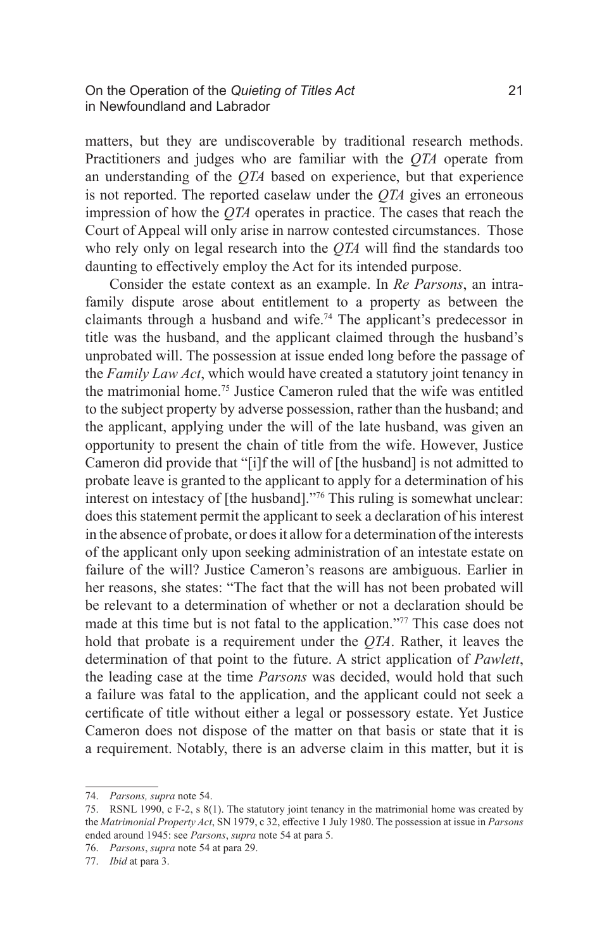matters, but they are undiscoverable by traditional research methods. Practitioners and judges who are familiar with the *QTA* operate from an understanding of the *QTA* based on experience, but that experience is not reported. The reported caselaw under the *QTA* gives an erroneous impression of how the *QTA* operates in practice. The cases that reach the Court of Appeal will only arise in narrow contested circumstances. Those who rely only on legal research into the *QTA* will find the standards too daunting to effectively employ the Act for its intended purpose.

Consider the estate context as an example. In *Re Parsons*, an intrafamily dispute arose about entitlement to a property as between the claimants through a husband and wife.<sup>74</sup> The applicant's predecessor in title was the husband, and the applicant claimed through the husband's unprobated will. The possession at issue ended long before the passage of the *Family Law Act*, which would have created a statutory joint tenancy in the matrimonial home.75 Justice Cameron ruled that the wife was entitled to the subject property by adverse possession, rather than the husband; and the applicant, applying under the will of the late husband, was given an opportunity to present the chain of title from the wife. However, Justice Cameron did provide that "[i]f the will of [the husband] is not admitted to probate leave is granted to the applicant to apply for a determination of his interest on intestacy of [the husband]."76 This ruling is somewhat unclear: does this statement permit the applicant to seek a declaration of his interest in the absence of probate, or does it allow for a determination of the interests of the applicant only upon seeking administration of an intestate estate on failure of the will? Justice Cameron's reasons are ambiguous. Earlier in her reasons, she states: "The fact that the will has not been probated will be relevant to a determination of whether or not a declaration should be made at this time but is not fatal to the application."77 This case does not hold that probate is a requirement under the *QTA*. Rather, it leaves the determination of that point to the future. A strict application of *Pawlett*, the leading case at the time *Parsons* was decided, would hold that such a failure was fatal to the application, and the applicant could not seek a certificate of title without either a legal or possessory estate. Yet Justice Cameron does not dispose of the matter on that basis or state that it is a requirement. Notably, there is an adverse claim in this matter, but it is

<sup>74.</sup> *Parsons, supra* note 54.

<sup>75.</sup> RSNL 1990, c F-2, s 8(1). The statutory joint tenancy in the matrimonial home was created by the *Matrimonial Property Act*, SN 1979, c 32, effective 1 July 1980. The possession at issue in *Parsons* ended around 1945: see *Parsons*, *supra* note 54 at para 5.

<sup>76.</sup> *Parsons*, *supra* note 54 at para 29.

<sup>77.</sup> *Ibid* at para 3.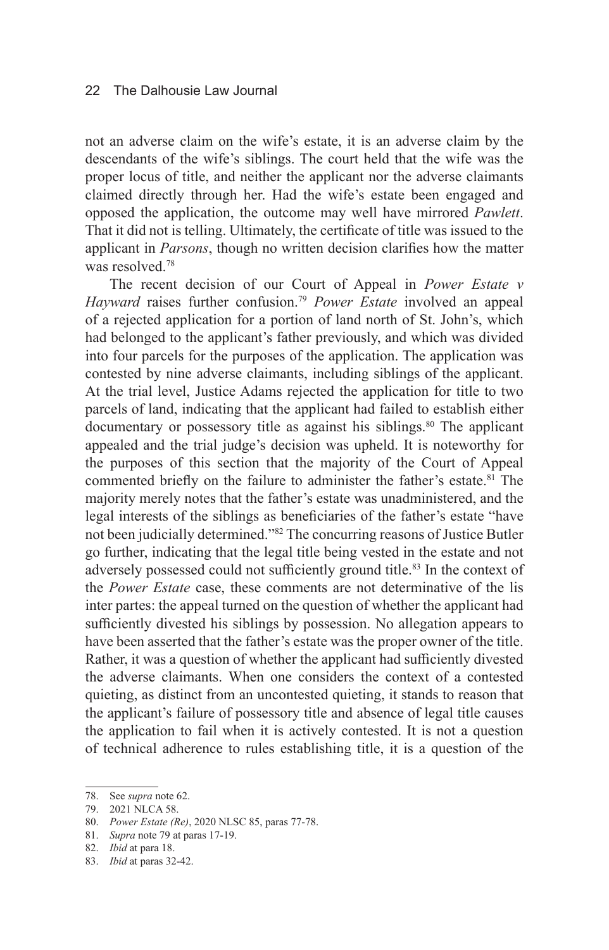not an adverse claim on the wife's estate, it is an adverse claim by the descendants of the wife's siblings. The court held that the wife was the proper locus of title, and neither the applicant nor the adverse claimants claimed directly through her. Had the wife's estate been engaged and opposed the application, the outcome may well have mirrored *Pawlett*. That it did not is telling. Ultimately, the certificate of title was issued to the applicant in *Parsons*, though no written decision clarifies how the matter was resolved.<sup>78</sup>

The recent decision of our Court of Appeal in *Power Estate v Hayward* raises further confusion.<sup>79</sup> *Power Estate* involved an appeal of a rejected application for a portion of land north of St. John's, which had belonged to the applicant's father previously, and which was divided into four parcels for the purposes of the application. The application was contested by nine adverse claimants, including siblings of the applicant. At the trial level, Justice Adams rejected the application for title to two parcels of land, indicating that the applicant had failed to establish either documentary or possessory title as against his siblings.<sup>80</sup> The applicant appealed and the trial judge's decision was upheld. It is noteworthy for the purposes of this section that the majority of the Court of Appeal commented briefly on the failure to administer the father's estate.<sup>81</sup> The majority merely notes that the father's estate was unadministered, and the legal interests of the siblings as beneficiaries of the father's estate "have not been judicially determined."82 The concurring reasons of Justice Butler go further, indicating that the legal title being vested in the estate and not adversely possessed could not sufficiently ground title.<sup>83</sup> In the context of the *Power Estate* case, these comments are not determinative of the lis inter partes: the appeal turned on the question of whether the applicant had sufficiently divested his siblings by possession. No allegation appears to have been asserted that the father's estate was the proper owner of the title. Rather, it was a question of whether the applicant had sufficiently divested the adverse claimants. When one considers the context of a contested quieting, as distinct from an uncontested quieting, it stands to reason that the applicant's failure of possessory title and absence of legal title causes the application to fail when it is actively contested. It is not a question of technical adherence to rules establishing title, it is a question of the

<sup>78.</sup> See *supra* note 62.

<sup>79.</sup> 2021 NLCA 58.

<sup>80.</sup> *Power Estate (Re)*, 2020 NLSC 85, paras 77-78.

<sup>81.</sup> *Supra* note 79 at paras 17-19.

<sup>82.</sup> *Ibid* at para 18.

<sup>83.</sup> *Ibid* at paras 32-42.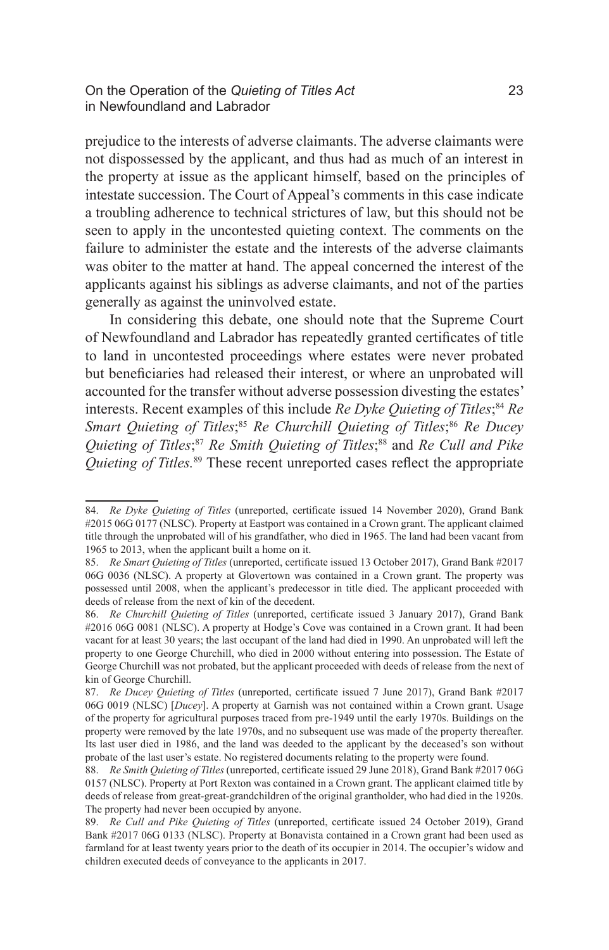prejudice to the interests of adverse claimants. The adverse claimants were not dispossessed by the applicant, and thus had as much of an interest in the property at issue as the applicant himself, based on the principles of intestate succession. The Court of Appeal's comments in this case indicate a troubling adherence to technical strictures of law, but this should not be seen to apply in the uncontested quieting context. The comments on the failure to administer the estate and the interests of the adverse claimants was obiter to the matter at hand. The appeal concerned the interest of the applicants against his siblings as adverse claimants, and not of the parties generally as against the uninvolved estate.

In considering this debate, one should note that the Supreme Court of Newfoundland and Labrador has repeatedly granted certificates of title to land in uncontested proceedings where estates were never probated but beneficiaries had released their interest, or where an unprobated will accounted for the transfer without adverse possession divesting the estates' interests. Recent examples of this include *Re Dyke Quieting of Titles*; <sup>84</sup> *Re*  Smart Quieting of Titles;<sup>85</sup> Re Churchill Quieting of Titles;<sup>86</sup> Re Ducey *Quieting of Titles*; <sup>87</sup> *Re Smith Quieting of Titles*; 88 and *Re Cull and Pike Quieting of Titles.*<sup>89</sup> These recent unreported cases reflect the appropriate

<sup>84.</sup> *Re Dyke Quieting of Titles* (unreported, certificate issued 14 November 2020), Grand Bank #2015 06G 0177 (NLSC). Property at Eastport was contained in a Crown grant. The applicant claimed title through the unprobated will of his grandfather, who died in 1965. The land had been vacant from 1965 to 2013, when the applicant built a home on it.

<sup>85.</sup> *Re Smart Quieting of Titles* (unreported, certificate issued 13 October 2017), Grand Bank #2017 06G 0036 (NLSC). A property at Glovertown was contained in a Crown grant. The property was possessed until 2008, when the applicant's predecessor in title died. The applicant proceeded with deeds of release from the next of kin of the decedent.

<sup>86.</sup> *Re Churchill Quieting of Titles* (unreported, certificate issued 3 January 2017), Grand Bank #2016 06G 0081 (NLSC). A property at Hodge's Cove was contained in a Crown grant. It had been vacant for at least 30 years; the last occupant of the land had died in 1990. An unprobated will left the property to one George Churchill, who died in 2000 without entering into possession. The Estate of George Churchill was not probated, but the applicant proceeded with deeds of release from the next of kin of George Churchill.

<sup>87.</sup> *Re Ducey Quieting of Titles* (unreported, certificate issued 7 June 2017), Grand Bank #2017 06G 0019 (NLSC) [*Ducey*]. A property at Garnish was not contained within a Crown grant. Usage of the property for agricultural purposes traced from pre-1949 until the early 1970s. Buildings on the property were removed by the late 1970s, and no subsequent use was made of the property thereafter. Its last user died in 1986, and the land was deeded to the applicant by the deceased's son without probate of the last user's estate. No registered documents relating to the property were found.

<sup>88.</sup> *Re Smith Quieting of Titles* (unreported, certificate issued 29 June 2018), Grand Bank #2017 06G 0157 (NLSC). Property at Port Rexton was contained in a Crown grant. The applicant claimed title by deeds of release from great-great-grandchildren of the original grantholder, who had died in the 1920s. The property had never been occupied by anyone.

<sup>89.</sup> *Re Cull and Pike Quieting of Titles* (unreported, certificate issued 24 October 2019), Grand Bank #2017 06G 0133 (NLSC). Property at Bonavista contained in a Crown grant had been used as farmland for at least twenty years prior to the death of its occupier in 2014. The occupier's widow and children executed deeds of conveyance to the applicants in 2017.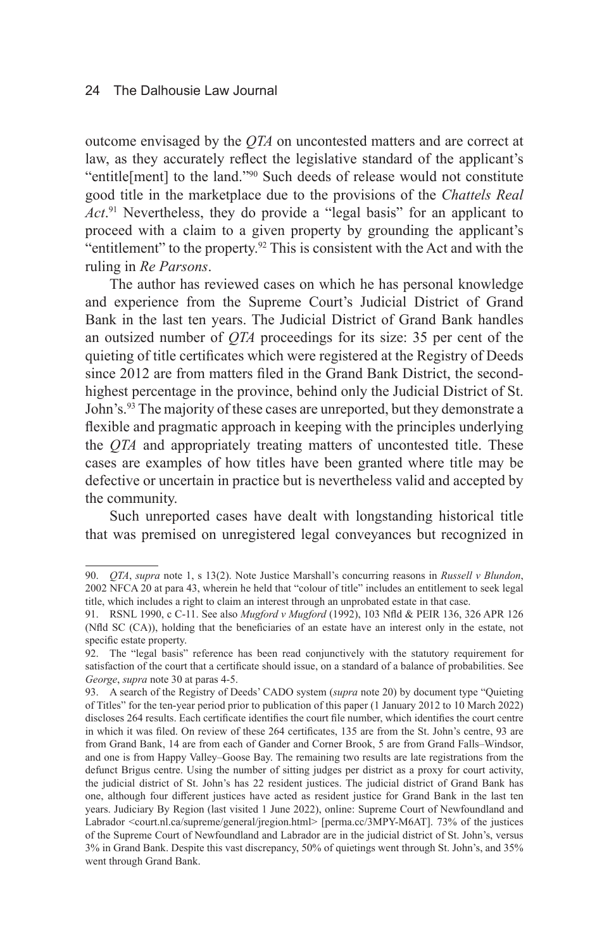outcome envisaged by the *QTA* on uncontested matters and are correct at law, as they accurately reflect the legislative standard of the applicant's "entitle[ment] to the land."90 Such deeds of release would not constitute good title in the marketplace due to the provisions of the *Chattels Real Act*. 91 Nevertheless, they do provide a "legal basis" for an applicant to proceed with a claim to a given property by grounding the applicant's "entitlement" to the property. $92$  This is consistent with the Act and with the ruling in *Re Parsons*.

The author has reviewed cases on which he has personal knowledge and experience from the Supreme Court's Judicial District of Grand Bank in the last ten years. The Judicial District of Grand Bank handles an outsized number of *QTA* proceedings for its size: 35 per cent of the quieting of title certificates which were registered at the Registry of Deeds since 2012 are from matters filed in the Grand Bank District, the secondhighest percentage in the province, behind only the Judicial District of St. John's.<sup>93</sup> The majority of these cases are unreported, but they demonstrate a flexible and pragmatic approach in keeping with the principles underlying the *QTA* and appropriately treating matters of uncontested title. These cases are examples of how titles have been granted where title may be defective or uncertain in practice but is nevertheless valid and accepted by the community.

Such unreported cases have dealt with longstanding historical title that was premised on unregistered legal conveyances but recognized in

<sup>90.</sup> *QTA*, *supra* note 1, s 13(2). Note Justice Marshall's concurring reasons in *Russell v Blundon*, 2002 NFCA 20 at para 43, wherein he held that "colour of title" includes an entitlement to seek legal title, which includes a right to claim an interest through an unprobated estate in that case.

<sup>91.</sup> RSNL 1990, c C-11. See also *Mugford v Mugford* (1992), 103 Nfld & PEIR 136, 326 APR 126 (Nfld SC (CA)), holding that the beneficiaries of an estate have an interest only in the estate, not specific estate property.

<sup>92.</sup> The "legal basis" reference has been read conjunctively with the statutory requirement for satisfaction of the court that a certificate should issue, on a standard of a balance of probabilities. See *George*, *supra* note 30 at paras 4-5.

<sup>93.</sup> A search of the Registry of Deeds' CADO system (*supra* note 20) by document type "Quieting of Titles" for the ten-year period prior to publication of this paper (1 January 2012 to 10 March 2022) discloses 264 results. Each certificate identifies the court file number, which identifies the court centre in which it was filed. On review of these 264 certificates, 135 are from the St. John's centre, 93 are from Grand Bank, 14 are from each of Gander and Corner Brook, 5 are from Grand Falls–Windsor, and one is from Happy Valley–Goose Bay. The remaining two results are late registrations from the defunct Brigus centre. Using the number of sitting judges per district as a proxy for court activity, the judicial district of St. John's has 22 resident justices. The judicial district of Grand Bank has one, although four different justices have acted as resident justice for Grand Bank in the last ten years. Judiciary By Region (last visited 1 June 2022), online: Supreme Court of Newfoundland and Labrador <court.nl.ca/supreme/general/jregion.html> [perma.cc/3MPY-M6AT]. 73% of the justices of the Supreme Court of Newfoundland and Labrador are in the judicial district of St. John's, versus 3% in Grand Bank. Despite this vast discrepancy, 50% of quietings went through St. John's, and 35% went through Grand Bank.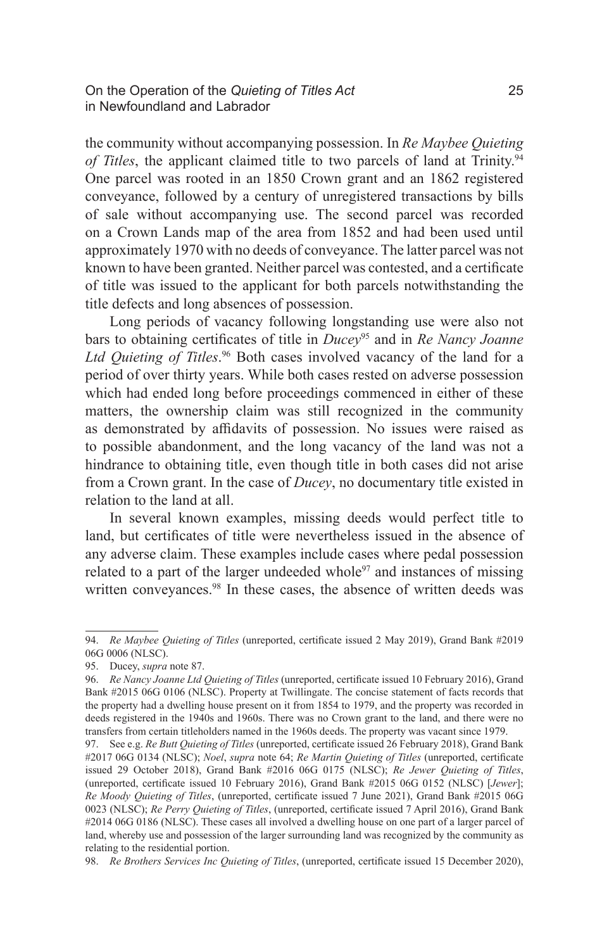On the Operation of the *Quieting of Titles Act* 25 in Newfoundland and Labrador

the community without accompanying possession. In *Re Maybee Quieting of Titles*, the applicant claimed title to two parcels of land at Trinity.<sup>94</sup> One parcel was rooted in an 1850 Crown grant and an 1862 registered conveyance, followed by a century of unregistered transactions by bills of sale without accompanying use. The second parcel was recorded on a Crown Lands map of the area from 1852 and had been used until approximately 1970 with no deeds of conveyance. The latter parcel was not known to have been granted. Neither parcel was contested, and a certificate of title was issued to the applicant for both parcels notwithstanding the title defects and long absences of possession.

Long periods of vacancy following longstanding use were also not bars to obtaining certificates of title in *Ducey*95 and in *Re Nancy Joanne Ltd Quieting of Titles*. 96 Both cases involved vacancy of the land for a period of over thirty years. While both cases rested on adverse possession which had ended long before proceedings commenced in either of these matters, the ownership claim was still recognized in the community as demonstrated by affidavits of possession. No issues were raised as to possible abandonment, and the long vacancy of the land was not a hindrance to obtaining title, even though title in both cases did not arise from a Crown grant. In the case of *Ducey*, no documentary title existed in relation to the land at all.

In several known examples, missing deeds would perfect title to land, but certificates of title were nevertheless issued in the absence of any adverse claim. These examples include cases where pedal possession related to a part of the larger undeeded whole<sup>97</sup> and instances of missing written conveyances.<sup>98</sup> In these cases, the absence of written deeds was

<sup>94.</sup> *Re Maybee Quieting of Titles* (unreported, certificate issued 2 May 2019), Grand Bank #2019 06G 0006 (NLSC).

<sup>95.</sup> Ducey, *supra* note 87.

<sup>96.</sup> *Re Nancy Joanne Ltd Quieting of Titles* (unreported, certificate issued 10 February 2016), Grand Bank #2015 06G 0106 (NLSC). Property at Twillingate. The concise statement of facts records that the property had a dwelling house present on it from 1854 to 1979, and the property was recorded in deeds registered in the 1940s and 1960s. There was no Crown grant to the land, and there were no transfers from certain titleholders named in the 1960s deeds. The property was vacant since 1979.

<sup>97.</sup> See e.g. *Re Butt Quieting of Titles* (unreported, certificate issued 26 February 2018), Grand Bank #2017 06G 0134 (NLSC); *Noel*, *supra* note 64; *Re Martin Quieting of Titles* (unreported, certificate issued 29 October 2018), Grand Bank #2016 06G 0175 (NLSC); *Re Jewer Quieting of Titles*, (unreported, certificate issued 10 February 2016), Grand Bank #2015 06G 0152 (NLSC) [*Jewer*]; *Re Moody Quieting of Titles*, (unreported, certificate issued 7 June 2021), Grand Bank #2015 06G 0023 (NLSC); *Re Perry Quieting of Titles*, (unreported, certificate issued 7 April 2016), Grand Bank #2014 06G 0186 (NLSC). These cases all involved a dwelling house on one part of a larger parcel of land, whereby use and possession of the larger surrounding land was recognized by the community as relating to the residential portion.

<sup>98.</sup> *Re Brothers Services Inc Quieting of Titles*, (unreported, certificate issued 15 December 2020),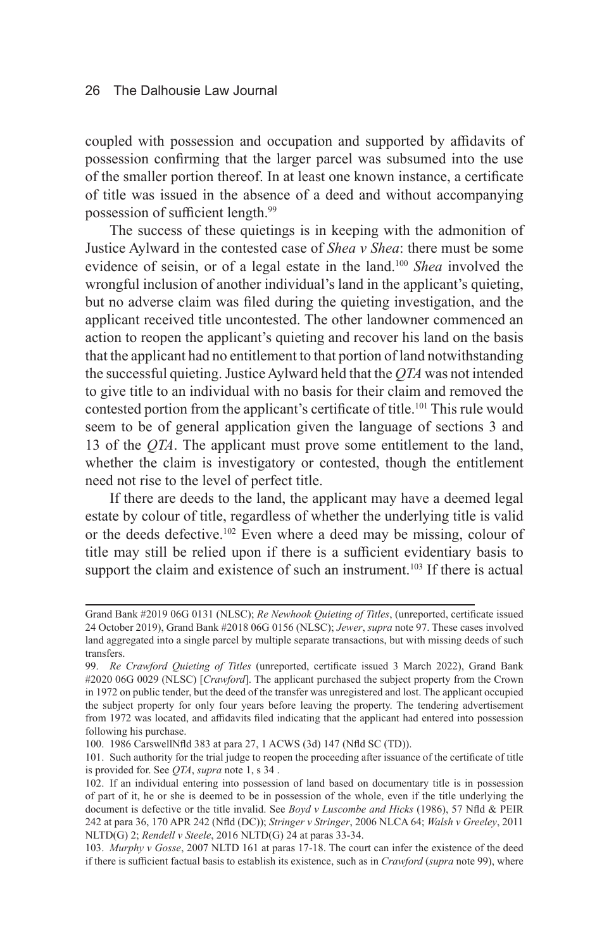coupled with possession and occupation and supported by affidavits of possession confirming that the larger parcel was subsumed into the use of the smaller portion thereof. In at least one known instance, a certificate of title was issued in the absence of a deed and without accompanying possession of sufficient length.<sup>99</sup>

The success of these quietings is in keeping with the admonition of Justice Aylward in the contested case of *Shea v Shea*: there must be some evidence of seisin, or of a legal estate in the land.100 *Shea* involved the wrongful inclusion of another individual's land in the applicant's quieting, but no adverse claim was filed during the quieting investigation, and the applicant received title uncontested. The other landowner commenced an action to reopen the applicant's quieting and recover his land on the basis that the applicant had no entitlement to that portion of land notwithstanding the successful quieting. Justice Aylward held that the *QTA* was not intended to give title to an individual with no basis for their claim and removed the contested portion from the applicant's certificate of title.<sup>101</sup> This rule would seem to be of general application given the language of sections 3 and 13 of the *QTA*. The applicant must prove some entitlement to the land, whether the claim is investigatory or contested, though the entitlement need not rise to the level of perfect title.

If there are deeds to the land, the applicant may have a deemed legal estate by colour of title, regardless of whether the underlying title is valid or the deeds defective.102 Even where a deed may be missing, colour of title may still be relied upon if there is a sufficient evidentiary basis to support the claim and existence of such an instrument.<sup>103</sup> If there is actual

Grand Bank #2019 06G 0131 (NLSC); *Re Newhook Quieting of Titles*, (unreported, certificate issued 24 October 2019), Grand Bank #2018 06G 0156 (NLSC); *Jewer*, *supra* note 97. These cases involved land aggregated into a single parcel by multiple separate transactions, but with missing deeds of such transfers.

<sup>99.</sup> *Re Crawford Quieting of Titles* (unreported, certificate issued 3 March 2022), Grand Bank #2020 06G 0029 (NLSC) [*Crawford*]. The applicant purchased the subject property from the Crown in 1972 on public tender, but the deed of the transfer was unregistered and lost. The applicant occupied the subject property for only four years before leaving the property. The tendering advertisement from 1972 was located, and affidavits filed indicating that the applicant had entered into possession following his purchase.

<sup>100.</sup> 1986 CarswellNfld 383 at para 27, 1 ACWS (3d) 147 (Nfld SC (TD)).

<sup>101.</sup> Such authority for the trial judge to reopen the proceeding after issuance of the certificate of title is provided for. See *QTA*, *supra* note 1, s 34 .

<sup>102.</sup> If an individual entering into possession of land based on documentary title is in possession of part of it, he or she is deemed to be in possession of the whole, even if the title underlying the document is defective or the title invalid. See *Boyd v Luscombe and Hicks* (1986), 57 Nfld & PEIR 242 at para 36, 170 APR 242 (Nfld (DC)); *Stringer v Stringer*, 2006 NLCA 64; *Walsh v Greeley*, 2011 NLTD(G) 2; *Rendell v Steele*, 2016 NLTD(G) 24 at paras 33-34.

<sup>103.</sup> *Murphy v Gosse*, 2007 NLTD 161 at paras 17-18. The court can infer the existence of the deed if there is sufficient factual basis to establish its existence, such as in *Crawford* (*supra* note 99), where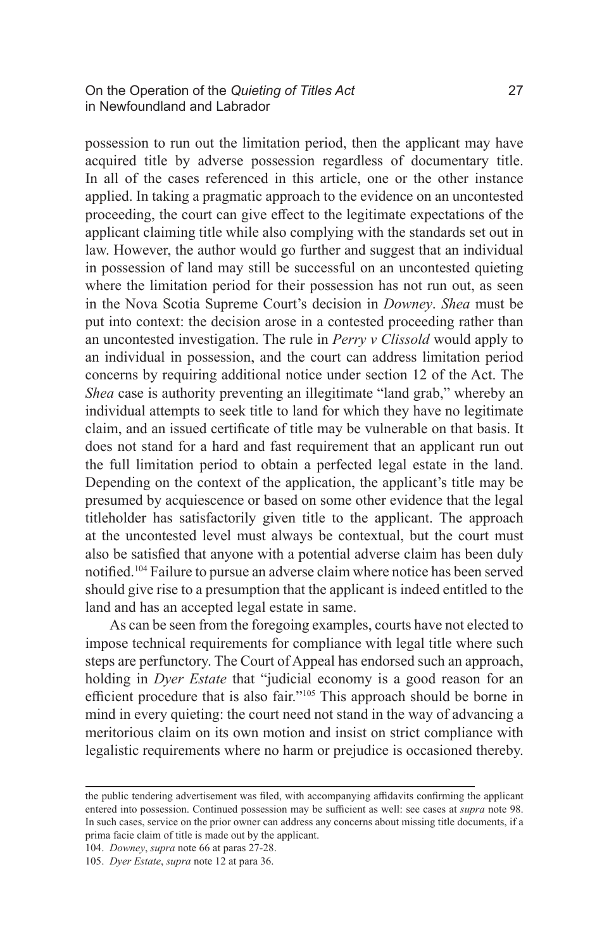possession to run out the limitation period, then the applicant may have acquired title by adverse possession regardless of documentary title. In all of the cases referenced in this article, one or the other instance applied. In taking a pragmatic approach to the evidence on an uncontested proceeding, the court can give effect to the legitimate expectations of the applicant claiming title while also complying with the standards set out in law. However, the author would go further and suggest that an individual in possession of land may still be successful on an uncontested quieting where the limitation period for their possession has not run out, as seen in the Nova Scotia Supreme Court's decision in *Downey*. *Shea* must be put into context: the decision arose in a contested proceeding rather than an uncontested investigation. The rule in *Perry v Clissold* would apply to an individual in possession, and the court can address limitation period concerns by requiring additional notice under section 12 of the Act. The *Shea* case is authority preventing an illegitimate "land grab," whereby an individual attempts to seek title to land for which they have no legitimate claim, and an issued certificate of title may be vulnerable on that basis. It does not stand for a hard and fast requirement that an applicant run out the full limitation period to obtain a perfected legal estate in the land. Depending on the context of the application, the applicant's title may be presumed by acquiescence or based on some other evidence that the legal titleholder has satisfactorily given title to the applicant. The approach at the uncontested level must always be contextual, but the court must also be satisfied that anyone with a potential adverse claim has been duly notified.104 Failure to pursue an adverse claim where notice has been served should give rise to a presumption that the applicant is indeed entitled to the land and has an accepted legal estate in same.

As can be seen from the foregoing examples, courts have not elected to impose technical requirements for compliance with legal title where such steps are perfunctory. The Court of Appeal has endorsed such an approach, holding in *Dyer Estate* that "judicial economy is a good reason for an efficient procedure that is also fair."105 This approach should be borne in mind in every quieting: the court need not stand in the way of advancing a meritorious claim on its own motion and insist on strict compliance with legalistic requirements where no harm or prejudice is occasioned thereby.

104. *Downey*, *supra* note 66 at paras 27-28.

the public tendering advertisement was filed, with accompanying affidavits confirming the applicant entered into possession. Continued possession may be sufficient as well: see cases at *supra* note 98. In such cases, service on the prior owner can address any concerns about missing title documents, if a prima facie claim of title is made out by the applicant.

<sup>105.</sup> *Dyer Estate*, *supra* note 12 at para 36.